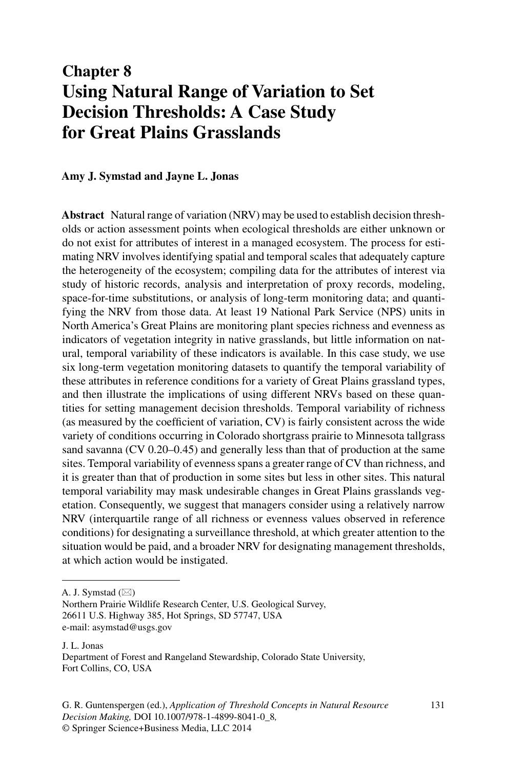# **Chapter 8 Using Natural Range of Variation to Set Decision Thresholds: A Case Study for Great Plains Grasslands**

#### **Amy J. Symstad and Jayne L. Jonas**

**Abstract** Natural range of variation (NRV) may be used to establish decision thresholds or action assessment points when ecological thresholds are either unknown or do not exist for attributes of interest in a managed ecosystem. The process for estimating NRV involves identifying spatial and temporal scales that adequately capture the heterogeneity of the ecosystem; compiling data for the attributes of interest via study of historic records, analysis and interpretation of proxy records, modeling, space-for-time substitutions, or analysis of long-term monitoring data; and quantifying the NRV from those data. At least 19 National Park Service (NPS) units in North America's Great Plains are monitoring plant species richness and evenness as indicators of vegetation integrity in native grasslands, but little information on natural, temporal variability of these indicators is available. In this case study, we use six long-term vegetation monitoring datasets to quantify the temporal variability of these attributes in reference conditions for a variety of Great Plains grassland types, and then illustrate the implications of using different NRVs based on these quantities for setting management decision thresholds. Temporal variability of richness (as measured by the coefficient of variation, CV) is fairly consistent across the wide variety of conditions occurring in Colorado shortgrass prairie to Minnesota tallgrass sand savanna (CV 0.20–0.45) and generally less than that of production at the same sites. Temporal variability of evenness spans a greater range of CV than richness, and it is greater than that of production in some sites but less in other sites. This natural temporal variability may mask undesirable changes in Great Plains grasslands vegetation. Consequently, we suggest that managers consider using a relatively narrow NRV (interquartile range of all richness or evenness values observed in reference conditions) for designating a surveillance threshold, at which greater attention to the situation would be paid, and a broader NRV for designating management thresholds, at which action would be instigated.

A. J. Symstad  $(\boxtimes)$ 

J. L. Jonas

Northern Prairie Wildlife Research Center, U.S. Geological Survey, 26611 U.S. Highway 385, Hot Springs, SD 57747, USA e-mail: asymstad@usgs.gov

Department of Forest and Rangeland Stewardship, Colorado State University, Fort Collins, CO, USA

G. R. Guntenspergen (ed.), *Application of Threshold Concepts in Natural Resource* 131 *Decision Making,* DOI 10.1007/978-1-4899-8041-0\_8*,* © Springer Science+Business Media, LLC 2014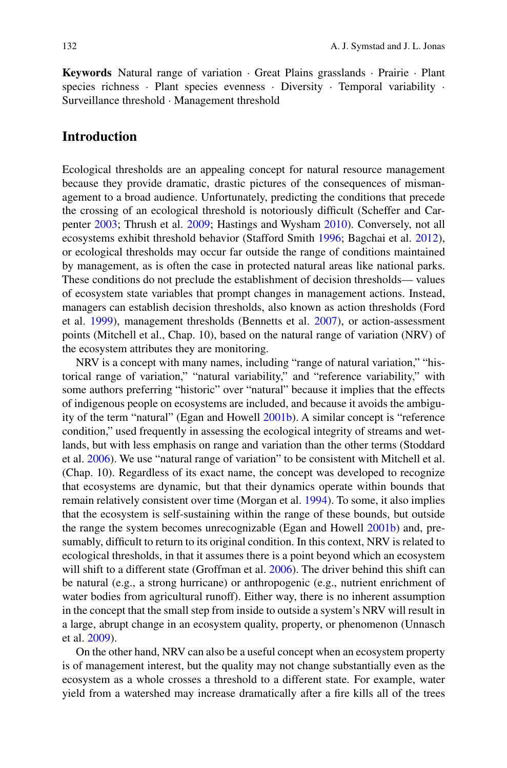**Keywords** Natural range of variation · Great Plains grasslands · Prairie · Plant species richness · Plant species evenness · Diversity · Temporal variability · Surveillance threshold · Management threshold

#### **Introduction**

Ecological thresholds are an appealing concept for natural resource management because they provide dramatic, drastic pictures of the consequences of mismanagement to a broad audience. Unfortunately, predicting the conditions that precede the crossing of an ecological threshold is notoriously difficult (Scheffer and Carpenter [2003;](#page-24-0) Thrush et al. [2009;](#page-25-0) Hastings and Wysham [2010\)](#page-23-0). Conversely, not all ecosystems exhibit threshold behavior (Stafford Smith [1996](#page-24-0); Bagchai et al. [2012\)](#page-21-0), or ecological thresholds may occur far outside the range of conditions maintained by management, as is often the case in protected natural areas like national parks. These conditions do not preclude the establishment of decision thresholds— values of ecosystem state variables that prompt changes in management actions. Instead, managers can establish decision thresholds, also known as action thresholds (Ford et al. [1999\)](#page-23-0), management thresholds (Bennetts et al. [2007](#page-21-0)), or action-assessment points (Mitchell et al., Chap. 10), based on the natural range of variation (NRV) of the ecosystem attributes they are monitoring.

NRV is a concept with many names, including "range of natural variation," "historical range of variation," "natural variability," and "reference variability," with some authors preferring "historic" over "natural" because it implies that the effects of indigenous people on ecosystems are included, and because it avoids the ambiguity of the term "natural" (Egan and Howell [2001b\)](#page-22-0). A similar concept is "reference condition," used frequently in assessing the ecological integrity of streams and wetlands, but with less emphasis on range and variation than the other terms (Stoddard et al. [2006](#page-24-0)). We use "natural range of variation" to be consistent with Mitchell et al. (Chap. 10). Regardless of its exact name, the concept was developed to recognize that ecosystems are dynamic, but that their dynamics operate within bounds that remain relatively consistent over time (Morgan et al. [1994\)](#page-24-0). To some, it also implies that the ecosystem is self-sustaining within the range of these bounds, but outside the range the system becomes unrecognizable (Egan and Howell [2001b\)](#page-22-0) and, presumably, difficult to return to its original condition. In this context, NRV is related to ecological thresholds, in that it assumes there is a point beyond which an ecosystem will shift to a different state (Groffman et al. [2006](#page-23-0)). The driver behind this shift can be natural (e.g., a strong hurricane) or anthropogenic (e.g., nutrient enrichment of water bodies from agricultural runoff). Either way, there is no inherent assumption in the concept that the small step from inside to outside a system's NRV will result in a large, abrupt change in an ecosystem quality, property, or phenomenon (Unnasch et al. [2009\)](#page-25-0).

On the other hand, NRV can also be a useful concept when an ecosystem property is of management interest, but the quality may not change substantially even as the ecosystem as a whole crosses a threshold to a different state. For example, water yield from a watershed may increase dramatically after a fire kills all of the trees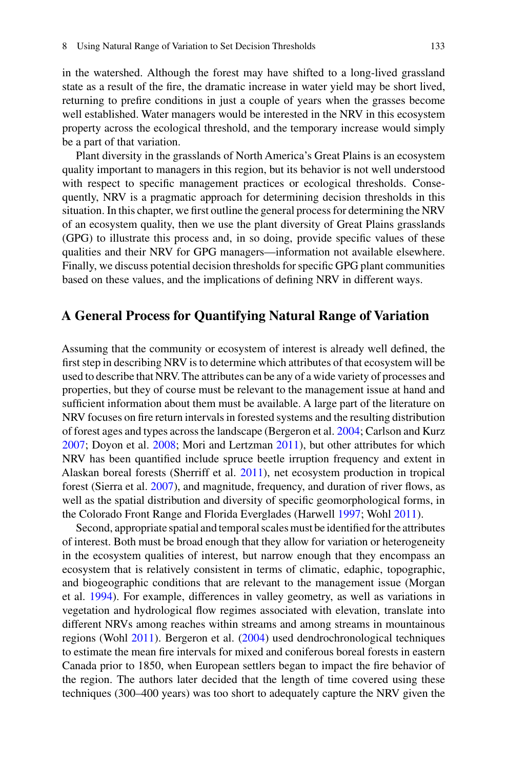in the watershed. Although the forest may have shifted to a long-lived grassland state as a result of the fire, the dramatic increase in water yield may be short lived, returning to prefire conditions in just a couple of years when the grasses become well established. Water managers would be interested in the NRV in this ecosystem property across the ecological threshold, and the temporary increase would simply be a part of that variation.

Plant diversity in the grasslands of North America's Great Plains is an ecosystem quality important to managers in this region, but its behavior is not well understood with respect to specific management practices or ecological thresholds. Consequently, NRV is a pragmatic approach for determining decision thresholds in this situation. In this chapter, we first outline the general process for determining the NRV of an ecosystem quality, then we use the plant diversity of Great Plains grasslands (GPG) to illustrate this process and, in so doing, provide specific values of these qualities and their NRV for GPG managers—information not available elsewhere. Finally, we discuss potential decision thresholds for specific GPG plant communities based on these values, and the implications of defining NRV in different ways.

## **A General Process for Quantifying Natural Range of Variation**

Assuming that the community or ecosystem of interest is already well defined, the first step in describing NRV is to determine which attributes of that ecosystem will be used to describe that NRV. The attributes can be any of a wide variety of processes and properties, but they of course must be relevant to the management issue at hand and sufficient information about them must be available. A large part of the literature on NRV focuses on fire return intervals in forested systems and the resulting distribution of forest ages and types across the landscape (Bergeron et al. [2004;](#page-22-0) Carlson and Kurz [2007;](#page-22-0) Doyon et al. [2008](#page-22-0); Mori and Lertzman [2011](#page-24-0)), but other attributes for which NRV has been quantified include spruce beetle irruption frequency and extent in Alaskan boreal forests (Sherriff et al. [2011](#page-24-0)), net ecosystem production in tropical forest (Sierra et al. [2007](#page-24-0)), and magnitude, frequency, and duration of river flows, as well as the spatial distribution and diversity of specific geomorphological forms, in the Colorado Front Range and Florida Everglades (Harwell [1997;](#page-23-0) Wohl [2011](#page-25-0)).

Second, appropriate spatial and temporal scales must be identified for the attributes of interest. Both must be broad enough that they allow for variation or heterogeneity in the ecosystem qualities of interest, but narrow enough that they encompass an ecosystem that is relatively consistent in terms of climatic, edaphic, topographic, and biogeographic conditions that are relevant to the management issue (Morgan et al. [1994\)](#page-24-0). For example, differences in valley geometry, as well as variations in vegetation and hydrological flow regimes associated with elevation, translate into different NRVs among reaches within streams and among streams in mountainous regions (Wohl [2011\)](#page-25-0). Bergeron et al. [\(2004\)](#page-22-0) used dendrochronological techniques to estimate the mean fire intervals for mixed and coniferous boreal forests in eastern Canada prior to 1850, when European settlers began to impact the fire behavior of the region. The authors later decided that the length of time covered using these techniques (300–400 years) was too short to adequately capture the NRV given the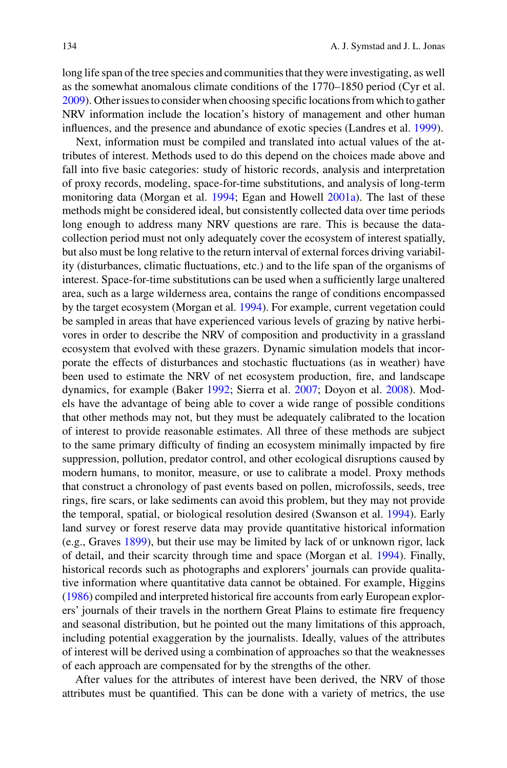long life span of the tree species and communities that they were investigating, as well as the somewhat anomalous climate conditions of the 1770–1850 period (Cyr et al. [2009\)](#page-22-0). Other issues to consider when choosing specific locations from which to gather NRV information include the location's history of management and other human influences, and the presence and abundance of exotic species (Landres et al. [1999](#page-23-0)).

Next, information must be compiled and translated into actual values of the attributes of interest. Methods used to do this depend on the choices made above and fall into five basic categories: study of historic records, analysis and interpretation of proxy records, modeling, space-for-time substitutions, and analysis of long-term monitoring data (Morgan et al. [1994](#page-24-0); Egan and Howell [2001a](#page-22-0)). The last of these methods might be considered ideal, but consistently collected data over time periods long enough to address many NRV questions are rare. This is because the datacollection period must not only adequately cover the ecosystem of interest spatially, but also must be long relative to the return interval of external forces driving variability (disturbances, climatic fluctuations, etc.) and to the life span of the organisms of interest. Space-for-time substitutions can be used when a sufficiently large unaltered area, such as a large wilderness area, contains the range of conditions encompassed by the target ecosystem (Morgan et al. [1994](#page-24-0)). For example, current vegetation could be sampled in areas that have experienced various levels of grazing by native herbivores in order to describe the NRV of composition and productivity in a grassland ecosystem that evolved with these grazers. Dynamic simulation models that incorporate the effects of disturbances and stochastic fluctuations (as in weather) have been used to estimate the NRV of net ecosystem production, fire, and landscape dynamics, for example (Baker [1992](#page-21-0); Sierra et al. [2007](#page-24-0); Doyon et al. [2008](#page-22-0)). Models have the advantage of being able to cover a wide range of possible conditions that other methods may not, but they must be adequately calibrated to the location of interest to provide reasonable estimates. All three of these methods are subject to the same primary difficulty of finding an ecosystem minimally impacted by fire suppression, pollution, predator control, and other ecological disruptions caused by modern humans, to monitor, measure, or use to calibrate a model. Proxy methods that construct a chronology of past events based on pollen, microfossils, seeds, tree rings, fire scars, or lake sediments can avoid this problem, but they may not provide the temporal, spatial, or biological resolution desired (Swanson et al. [1994\)](#page-24-0). Early land survey or forest reserve data may provide quantitative historical information (e.g., Graves [1899](#page-23-0)), but their use may be limited by lack of or unknown rigor, lack of detail, and their scarcity through time and space (Morgan et al. [1994](#page-24-0)). Finally, historical records such as photographs and explorers' journals can provide qualitative information where quantitative data cannot be obtained. For example, Higgins [\(1986](#page-23-0)) compiled and interpreted historical fire accounts from early European explorers' journals of their travels in the northern Great Plains to estimate fire frequency and seasonal distribution, but he pointed out the many limitations of this approach, including potential exaggeration by the journalists. Ideally, values of the attributes of interest will be derived using a combination of approaches so that the weaknesses of each approach are compensated for by the strengths of the other.

After values for the attributes of interest have been derived, the NRV of those attributes must be quantified. This can be done with a variety of metrics, the use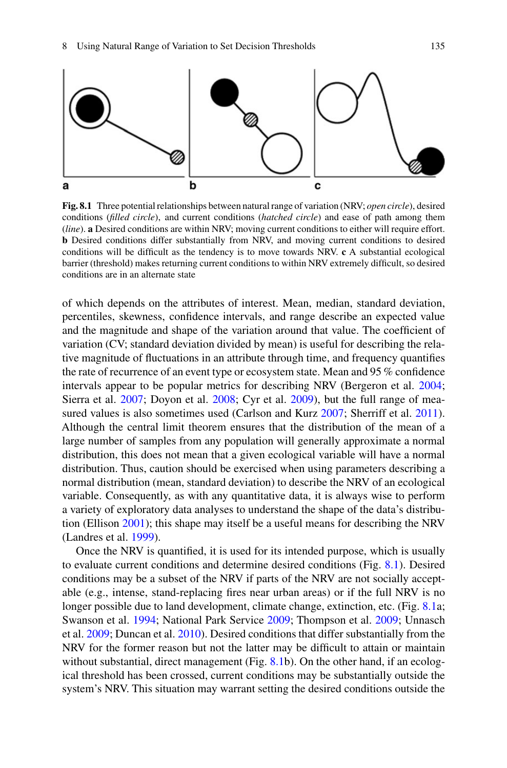<span id="page-4-0"></span>

**Fig. 8.1** Three potential relationships between natural range of variation (NRV; *open circle*), desired conditions (*filled circle*), and current conditions (*hatched circle*) and ease of path among them (*line*). **a** Desired conditions are within NRV; moving current conditions to either will require effort. **b** Desired conditions differ substantially from NRV, and moving current conditions to desired conditions will be difficult as the tendency is to move towards NRV. **c** A substantial ecological barrier (threshold) makes returning current conditions to within NRV extremely difficult, so desired conditions are in an alternate state

of which depends on the attributes of interest. Mean, median, standard deviation, percentiles, skewness, confidence intervals, and range describe an expected value and the magnitude and shape of the variation around that value. The coefficient of variation (CV; standard deviation divided by mean) is useful for describing the relative magnitude of fluctuations in an attribute through time, and frequency quantifies the rate of recurrence of an event type or ecosystem state. Mean and 95 % confidence intervals appear to be popular metrics for describing NRV (Bergeron et al. [2004;](#page-22-0) Sierra et al. [2007](#page-24-0); Doyon et al. [2008;](#page-22-0) Cyr et al. [2009\)](#page-22-0), but the full range of mea-sured values is also sometimes used (Carlson and Kurz [2007;](#page-22-0) Sherriff et al. [2011\)](#page-24-0). Although the central limit theorem ensures that the distribution of the mean of a large number of samples from any population will generally approximate a normal distribution, this does not mean that a given ecological variable will have a normal distribution. Thus, caution should be exercised when using parameters describing a normal distribution (mean, standard deviation) to describe the NRV of an ecological variable. Consequently, as with any quantitative data, it is always wise to perform a variety of exploratory data analyses to understand the shape of the data's distribution (Ellison [2001\)](#page-23-0); this shape may itself be a useful means for describing the NRV (Landres et al. [1999\)](#page-23-0).

Once the NRV is quantified, it is used for its intended purpose, which is usually to evaluate current conditions and determine desired conditions (Fig. 8.1). Desired conditions may be a subset of the NRV if parts of the NRV are not socially acceptable (e.g., intense, stand-replacing fires near urban areas) or if the full NRV is no longer possible due to land development, climate change, extinction, etc. (Fig. 8.1a; Swanson et al. [1994](#page-24-0); National Park Service [2009](#page-24-0); Thompson et al. [2009;](#page-25-0) Unnasch et al. [2009;](#page-25-0) Duncan et al. [2010\)](#page-22-0). Desired conditions that differ substantially from the NRV for the former reason but not the latter may be difficult to attain or maintain without substantial, direct management (Fig. 8.1b). On the other hand, if an ecological threshold has been crossed, current conditions may be substantially outside the system's NRV. This situation may warrant setting the desired conditions outside the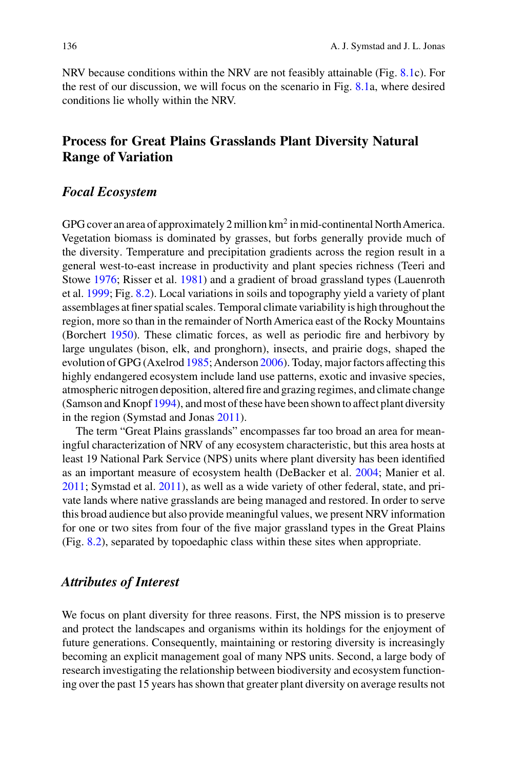NRV because conditions within the NRV are not feasibly attainable (Fig. [8.1c](#page-4-0)). For the rest of our discussion, we will focus on the scenario in Fig. [8.1a](#page-4-0), where desired conditions lie wholly within the NRV.

# **Process for Great Plains Grasslands Plant Diversity Natural Range of Variation**

## *Focal Ecosystem*

GPG cover an area of approximately 2 million km<sup>2</sup> in mid-continental North America. Vegetation biomass is dominated by grasses, but forbs generally provide much of the diversity. Temperature and precipitation gradients across the region result in a general west-to-east increase in productivity and plant species richness (Teeri and Stowe [1976](#page-25-0); Risser et al. [1981](#page-24-0)) and a gradient of broad grassland types (Lauenroth et al. [1999;](#page-23-0) Fig. [8.2\)](#page-6-0). Local variations in soils and topography yield a variety of plant assemblages at finer spatial scales. Temporal climate variability is high throughout the region, more so than in the remainder of North America east of the Rocky Mountains (Borchert [1950](#page-22-0)). These climatic forces, as well as periodic fire and herbivory by large ungulates (bison, elk, and pronghorn), insects, and prairie dogs, shaped the evolution of GPG (Axelrod [1985](#page-21-0); Anderson [2006](#page-21-0)). Today, major factors affecting this highly endangered ecosystem include land use patterns, exotic and invasive species, atmospheric nitrogen deposition, altered fire and grazing regimes, and climate change (Samson and Knopf [1994\)](#page-24-0), and most of these have been shown to affect plant diversity in the region (Symstad and Jonas [2011](#page-25-0)).

The term "Great Plains grasslands" encompasses far too broad an area for meaningful characterization of NRV of any ecosystem characteristic, but this area hosts at least 19 National Park Service (NPS) units where plant diversity has been identified as an important measure of ecosystem health (DeBacker et al. [2004;](#page-22-0) Manier et al. [2011;](#page-23-0) Symstad et al. [2011](#page-25-0)), as well as a wide variety of other federal, state, and private lands where native grasslands are being managed and restored. In order to serve this broad audience but also provide meaningful values, we present NRV information for one or two sites from four of the five major grassland types in the Great Plains (Fig. [8.2\)](#page-6-0), separated by topoedaphic class within these sites when appropriate.

## *Attributes of Interest*

We focus on plant diversity for three reasons. First, the NPS mission is to preserve and protect the landscapes and organisms within its holdings for the enjoyment of future generations. Consequently, maintaining or restoring diversity is increasingly becoming an explicit management goal of many NPS units. Second, a large body of research investigating the relationship between biodiversity and ecosystem functioning over the past 15 years has shown that greater plant diversity on average results not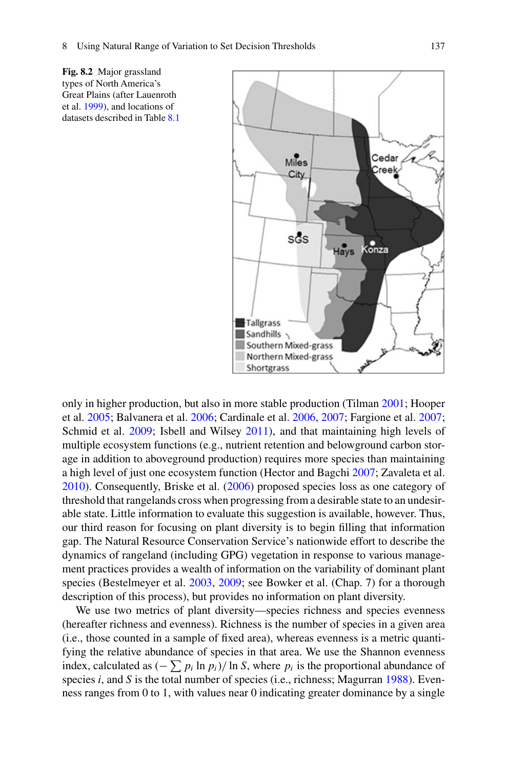

<span id="page-6-0"></span>**Fig. 8.2** Major grassland types of North America's Great Plains (after Lauenroth et al. [1999](#page-23-0)), and locations of datasets described in Table [8.1](#page-8-0)

only in higher production, but also in more stable production (Tilman [2001;](#page-25-0) Hooper et al. [2005;](#page-23-0) Balvanera et al. [2006](#page-21-0); Cardinale et al. [2006](#page-22-0), [2007](#page-22-0); Fargione et al. [2007;](#page-23-0) Schmid et al. [2009;](#page-24-0) Isbell and Wilsey [2011\)](#page-23-0), and that maintaining high levels of multiple ecosystem functions (e.g., nutrient retention and belowground carbon storage in addition to aboveground production) requires more species than maintaining a high level of just one ecosystem function (Hector and Bagchi [2007](#page-23-0); Zavaleta et al. [2010\)](#page-25-0). Consequently, Briske et al. [\(2006\)](#page-22-0) proposed species loss as one category of threshold that rangelands cross when progressing from a desirable state to an undesirable state. Little information to evaluate this suggestion is available, however. Thus, our third reason for focusing on plant diversity is to begin filling that information gap. The Natural Resource Conservation Service's nationwide effort to describe the dynamics of rangeland (including GPG) vegetation in response to various management practices provides a wealth of information on the variability of dominant plant species (Bestelmeyer et al. [2003,](#page-22-0) [2009](#page-22-0); see Bowker et al. (Chap. 7) for a thorough description of this process), but provides no information on plant diversity.

We use two metrics of plant diversity—species richness and species evenness (hereafter richness and evenness). Richness is the number of species in a given area (i.e., those counted in a sample of fixed area), whereas evenness is a metric quantifying the relative abundance of species in that area. We use the Shannon evenness index, calculated as  $\left(-\sum p_i \ln p_i\right)$ */* ln *S*, where  $p_i$  is the proportional abundance of species *i*, and *S* is the total number of species (i.e., richness; Magurran [1988\)](#page-23-0). Evenness ranges from 0 to 1, with values near 0 indicating greater dominance by a single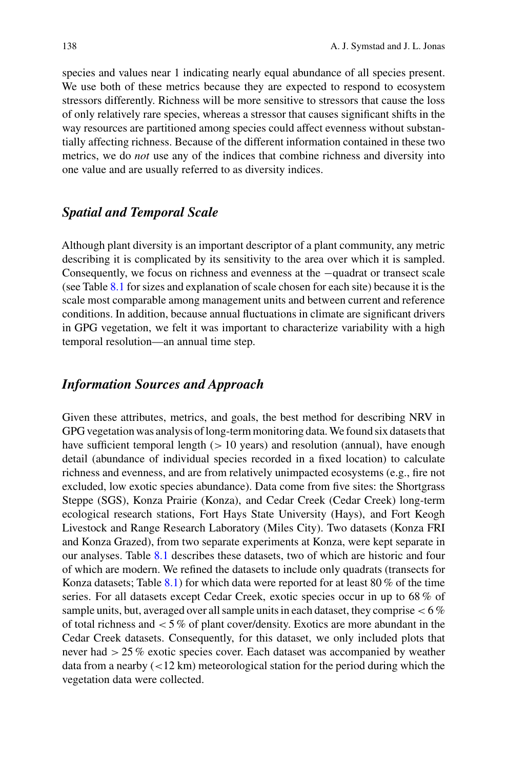species and values near 1 indicating nearly equal abundance of all species present. We use both of these metrics because they are expected to respond to ecosystem stressors differently. Richness will be more sensitive to stressors that cause the loss of only relatively rare species, whereas a stressor that causes significant shifts in the way resources are partitioned among species could affect evenness without substantially affecting richness. Because of the different information contained in these two metrics, we do *not* use any of the indices that combine richness and diversity into one value and are usually referred to as diversity indices.

## *Spatial and Temporal Scale*

Although plant diversity is an important descriptor of a plant community, any metric describing it is complicated by its sensitivity to the area over which it is sampled. Consequently, we focus on richness and evenness at the −quadrat or transect scale (see Table [8.1](#page-8-0) for sizes and explanation of scale chosen for each site) because it is the scale most comparable among management units and between current and reference conditions. In addition, because annual fluctuations in climate are significant drivers in GPG vegetation, we felt it was important to characterize variability with a high temporal resolution—an annual time step.

## *Information Sources and Approach*

Given these attributes, metrics, and goals, the best method for describing NRV in GPG vegetation was analysis of long-term monitoring data. We found six datasets that have sufficient temporal length (*>* 10 years) and resolution (annual), have enough detail (abundance of individual species recorded in a fixed location) to calculate richness and evenness, and are from relatively unimpacted ecosystems (e.g., fire not excluded, low exotic species abundance). Data come from five sites: the Shortgrass Steppe (SGS), Konza Prairie (Konza), and Cedar Creek (Cedar Creek) long-term ecological research stations, Fort Hays State University (Hays), and Fort Keogh Livestock and Range Research Laboratory (Miles City). Two datasets (Konza FRI and Konza Grazed), from two separate experiments at Konza, were kept separate in our analyses. Table [8.1](#page-8-0) describes these datasets, two of which are historic and four of which are modern. We refined the datasets to include only quadrats (transects for Konza datasets; Table  $8.1$ ) for which data were reported for at least  $80\%$  of the time series. For all datasets except Cedar Creek, exotic species occur in up to 68 % of sample units, but, averaged over all sample units in each dataset, they comprise *<* 6 % of total richness and *<* 5 % of plant cover/density. Exotics are more abundant in the Cedar Creek datasets. Consequently, for this dataset, we only included plots that never had *>* 25 % exotic species cover. Each dataset was accompanied by weather data from a nearby (*<*12 km) meteorological station for the period during which the vegetation data were collected.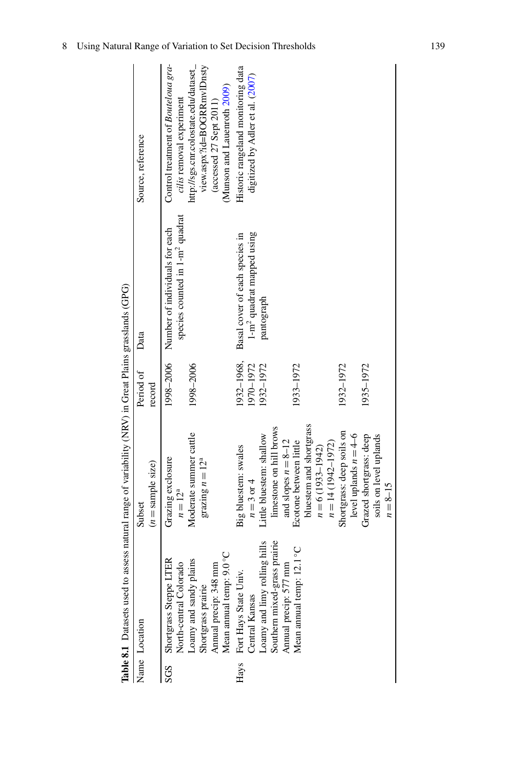<span id="page-8-0"></span>

|      | Table 8.1 Datasets used to                                                                                        | assess natural range of variability (NRV) in Great Plains grasslands (GPG) |                         |                                                                                         |                                                                                                                                    |
|------|-------------------------------------------------------------------------------------------------------------------|----------------------------------------------------------------------------|-------------------------|-----------------------------------------------------------------------------------------|------------------------------------------------------------------------------------------------------------------------------------|
|      | Name Location                                                                                                     | $(n = sample size)$<br>Subset                                              | Period of<br>record     | Data                                                                                    | Source, reference                                                                                                                  |
| SGS  | <b>TER</b><br>North-central Colorado<br>Shortgrass Steppe I                                                       | Grazing exclosure<br>$n = 12^a$                                            |                         | species counted in 1-m <sup>2</sup> quadrat<br>1998-2006 Number of individuals for each | Control treatment of Bouteloua gra-<br>cilis removal experiment                                                                    |
|      | $0.0\degree$ C<br>Loamy and sandy plains<br>mm<br>Annual precip: 348 1<br>Mean annual temp:<br>Shortgrass prairie | Moderate summer cattle<br>grazing $n = 12a$                                | 1998-2006               |                                                                                         | http://sgs.cnr.colostate.edu/dataset_<br>view.aspx?id=BOGRRmvlDnsty<br>(Munson and Lauenroth 2009)<br>(accessed $27$ Sept $2011$ ) |
| Hays | Σ<br>Fort Hays State Uni<br>Central Kansas                                                                        | Big bluestem: swales<br>$n=3$ or 4                                         | 1932-1968.<br>1970-1972 | 1-m <sup>2</sup> quadrat mapped using<br>Basal cover of each species in                 | Historic rangeland monitoring data<br>digitized by Adler et al. (2007)                                                             |
|      | Loamy and limy rolling hills                                                                                      | Little bluestem: shallow                                                   | 1932-1972               | pantograph                                                                              |                                                                                                                                    |
|      | Southern mixed-grass prairie                                                                                      | limestone on hill brows                                                    |                         |                                                                                         |                                                                                                                                    |
|      | $12.1\degree$ C<br>E<br>Annual precip: 577<br>Mean annual temp:                                                   | and slopes $n = 8-12$<br>Ecotone between little                            | 1933-1972               |                                                                                         |                                                                                                                                    |
|      |                                                                                                                   | bluestem and shortgrass<br>$n = 6(1933 - 1942)$                            |                         |                                                                                         |                                                                                                                                    |
|      |                                                                                                                   | $n = 14(1942 - 1972)$                                                      |                         |                                                                                         |                                                                                                                                    |
|      |                                                                                                                   | Shortgrass: deep soils on                                                  | 1932-1972               |                                                                                         |                                                                                                                                    |
|      |                                                                                                                   | level uplands $n = 4-6$                                                    |                         |                                                                                         |                                                                                                                                    |
|      |                                                                                                                   | Grazed shortgrass: deep                                                    | 1935-1972               |                                                                                         |                                                                                                                                    |
|      |                                                                                                                   | soils on level uplands<br>$n = 8 - 15$                                     |                         |                                                                                         |                                                                                                                                    |
|      |                                                                                                                   |                                                                            |                         |                                                                                         |                                                                                                                                    |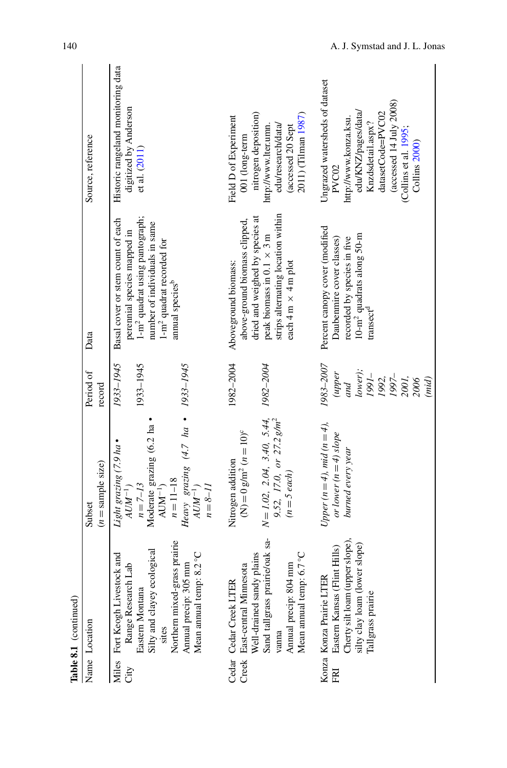|                              | Source, reference             | Historic rangeland monitoring data<br>digitized by Anderson<br>et al. (2011)                                                                                                                                            | nitrogen deposition)<br>2011) (Tilman 1987)<br>Field D of Experiment<br>edu/research/data/<br>(accessed 20 Sept<br>http://www.lter.umn<br>001 (long-term                                                         | Ungrazed watersheds of dataset<br>(accessed 14 July 2008)<br>edu/KNZ/pages/data/<br>datasetCode=PVC02<br>http://www.konza.ksu.<br>Knzdsdetail.aspx?<br>(Collins et al. 1995,<br>Collins 2000)<br>PVC02 |
|------------------------------|-------------------------------|-------------------------------------------------------------------------------------------------------------------------------------------------------------------------------------------------------------------------|------------------------------------------------------------------------------------------------------------------------------------------------------------------------------------------------------------------|--------------------------------------------------------------------------------------------------------------------------------------------------------------------------------------------------------|
|                              | Data                          | 1-m <sup>2</sup> quadrat using pantograph;<br>Basal cover or stem count of each<br>number of individuals in same<br>perennial species mapped in<br>1-m <sup>2</sup> quadrat recorded for<br>annual species <sup>b</sup> | strips alternating location within<br>dried and weighed by species at<br>above-ground biomass clipped,<br>peak biomass in $0.1 \times 3$ m<br>Aboveground biomass:<br>each $4 \text{ m} \times 4 \text{ m}$ plot | Percent canopy cover (modified<br>10-m <sup>2</sup> quadrats along 50-m<br>Daubenmire cover classes)<br>recorded by species in five<br>transect <sup>d</sup>                                           |
|                              | Period of<br>record           | 1933-1945<br>1933-1945                                                                                                                                                                                                  | 1982-2004<br>1982-2004                                                                                                                                                                                           | 1983-2007<br>lower);<br>(upper<br>-1991<br>1997-<br>1992,<br>2001,<br>(mid)<br>and<br>2006                                                                                                             |
|                              | $(n = sample size)$<br>Subset | Heavy grazing (4.7 ha . 1933-1945<br>Moderate grazing (6.2 ha ·<br>Light grazing (7.9 ha •<br>$n = 11 - 18$<br>$n = 7 - 13$<br>$A U M^{-1}$ )<br>${\rm AUM^{-1}})$<br>$n = 8 - 11$<br>$AUM^{-1}$ )                      | $N = 1.02$ , 2.04, 3.40, 5.44,<br>9.52, 17.0, or 27.2 g/m <sup>2</sup><br>$\rm{(N)}=0\,g/m^2$ $(n=10)^c$<br>Nitrogen addition<br>$(n=5$ each)                                                                    | Upper $(n=4)$ , mid $(n=4)$ ,<br>or lower $(n = 4)$ slope<br>burned every year                                                                                                                         |
| <b>Table 8.1</b> (continued) | Name Location                 | Northern mixed-grass prairie<br>Silty and clayey ecological<br>Mean annual temp: 8.2°C<br>Miles Fort Keogh Livestock and<br>Annual precip: 305 mm<br>Range Research Lab<br>Eastern Montana<br>sites                     | Sand tallgrass prairie/oak sa-<br>Well-drained sandy plains<br>Mean annual temp: 6.7°C<br>$\lim_{x \to 0}$<br>Creek East-central Minnesota<br>Cedar Cedar Creek LTER<br>Annual precip: 804<br>vanna              | Cherty silt loam (upper slope),<br>silty clay loam (lower slope)<br>Eastern Kansas (Flint Hills)<br>Konza Konza Prairie LTER<br>Tallgrass prairie                                                      |
|                              |                               | City                                                                                                                                                                                                                    |                                                                                                                                                                                                                  | FRI                                                                                                                                                                                                    |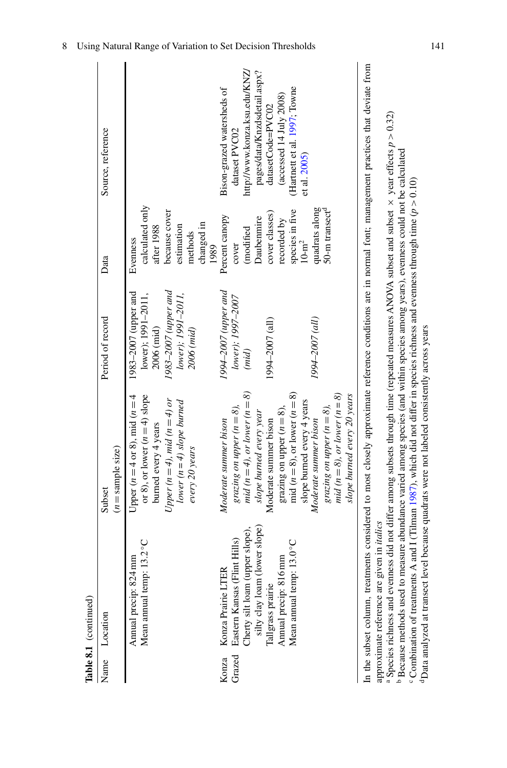|       | Table 8.1 (continued)                                                                                                                                                                                                                                 |                                                                                                                                                                                                                                                                                                                                                                              |                                                                                                                      |                                                                                                                                                                    |                                                                                                                                                                                                                   |
|-------|-------------------------------------------------------------------------------------------------------------------------------------------------------------------------------------------------------------------------------------------------------|------------------------------------------------------------------------------------------------------------------------------------------------------------------------------------------------------------------------------------------------------------------------------------------------------------------------------------------------------------------------------|----------------------------------------------------------------------------------------------------------------------|--------------------------------------------------------------------------------------------------------------------------------------------------------------------|-------------------------------------------------------------------------------------------------------------------------------------------------------------------------------------------------------------------|
|       | Name Location                                                                                                                                                                                                                                         | $(n = sample size)$<br>Subset                                                                                                                                                                                                                                                                                                                                                | Period of record                                                                                                     | Data                                                                                                                                                               | Source, reference                                                                                                                                                                                                 |
|       | Mean annual temp: 13.2°C<br>Annual precip: 824 mm                                                                                                                                                                                                     | Upper ( $n = 4$ or 8), mid ( $n = 4$<br>or 8), or lower $(n=4)$ slope<br>Upper ( $n = 4$ ), mid ( $n = 4$ ) or<br>lower ( $n = 4$ ) slope burned<br>burned every 4 years<br>every 20 years                                                                                                                                                                                   | 1983–2007 (upper and<br>1983-2007 (upper and<br>lower); 1991–2011,<br>lower); 1991–2011,<br>2006 (mid)<br>2006 (mid) | calculated only<br>because cover<br>changed in<br>estimation<br>after 1988<br>methods<br>Evenness<br>1989                                                          |                                                                                                                                                                                                                   |
| Konza | (lower slope)<br>upper slope).<br>Grazed Eastern Kansas (Flint Hills)<br>Cherty silt loam (upper slop<br>silty clay loam (lower slo<br>Mean annual temp: 13.0°C<br>$6 \text{mm}$<br>ER<br>Konza Prairie LTI<br>Annual precip: 81<br>Tallgrass prairie | mid ( $n = 8$ ), or lower ( $n = 8$ )<br>mid $(n=4)$ , or lower $(n=8)$<br>slope burned every 20 years<br>mid $(n=8)$ , or lower $(n=8)$<br>slope burned every 4 years<br>grazing on upper $(n = 8)$ ,<br>grazing on upper $(n = 8)$ ,<br>grazing on upper $(n = 8)$ ,<br>slope burned every year<br>Moderate summer bison<br>Moderate summer bison<br>Moderate summer bison | 1994–2007 (upper and<br>lower); 1997–2007<br>(Ilp) 2002–2007<br>1994-2007 (all)<br>(mid)                             | quadrats along<br>50-m transect <sup>a</sup><br>species in five<br>cover classes)<br>Percent canopy<br>Daubenmire<br>recorded by<br>(modified<br>$10-m^2$<br>cover | http://www.konza.ksu.edu/KNZ/<br>pages/data/Knzdsdetail.aspx?<br>(Hartnett et al. 1997; Towne<br>Bison-grazed watersheds of<br>(accessed $14$ July $2008$ )<br>datasetCode=PVC02<br>dataset PVC02<br>et al. 2005) |
|       | $\frac{1}{2}$<br>annmy imate reference are                                                                                                                                                                                                            |                                                                                                                                                                                                                                                                                                                                                                              |                                                                                                                      |                                                                                                                                                                    | In the subset column, treatments considered to most closely approximate reference conditions are in normal font; management practices that deviate from                                                           |

approximate reference are given in *italics* aapproximate reference are given in *udit* 

 Species richness and evenness did not differ among subsets through time (repeated measures ANOVA subset and subset × year effects *p >* 0.32) <sup>b</sup> Because methods used to measure abundance varied among species (and within species among years), evenness could not be calculated

 Because methods used to measure abundance varied among species (and within species among years), evenness could not be calculated c

*>* 0.10) Combination of treatments A and I (Tilman [1987](#page-25-0)), which did not differ in species richness and evenness through time (*p* <sup>d</sup>Data analyzed at transect level because quadrats were not labeled consistently across years dData analyzed at transect level because quadrats were not labeled consistently across years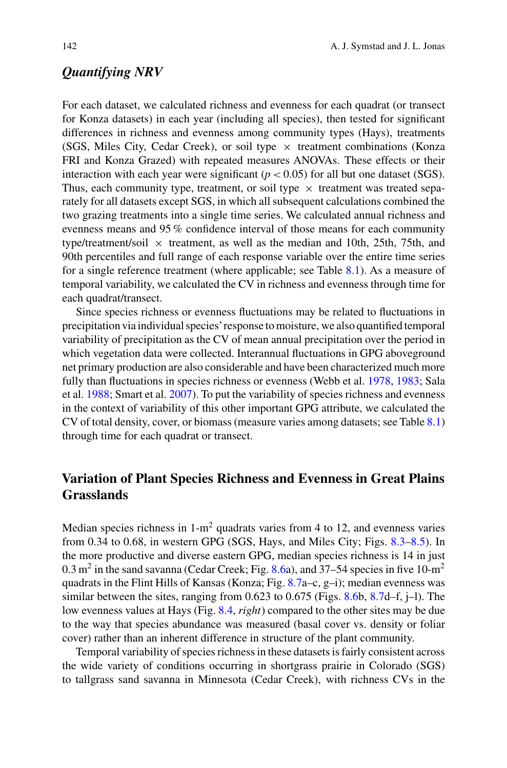# *Quantifying NRV*

For each dataset, we calculated richness and evenness for each quadrat (or transect for Konza datasets) in each year (including all species), then tested for significant differences in richness and evenness among community types (Hays), treatments (SGS, Miles City, Cedar Creek), or soil type  $\times$  treatment combinations (Konza FRI and Konza Grazed) with repeated measures ANOVAs. These effects or their interaction with each year were significant ( $p < 0.05$ ) for all but one dataset (SGS). Thus, each community type, treatment, or soil type  $\times$  treatment was treated separately for all datasets except SGS, in which all subsequent calculations combined the two grazing treatments into a single time series. We calculated annual richness and evenness means and 95 % confidence interval of those means for each community type/treatment/soil  $\times$  treatment, as well as the median and 10th, 25th, 75th, and 90th percentiles and full range of each response variable over the entire time series for a single reference treatment (where applicable; see Table [8.1\)](#page-8-0). As a measure of temporal variability, we calculated the CV in richness and evenness through time for each quadrat/transect.

Since species richness or evenness fluctuations may be related to fluctuations in precipitation via individual species'response to moisture, we also quantified temporal variability of precipitation as the CV of mean annual precipitation over the period in which vegetation data were collected. Interannual fluctuations in GPG aboveground net primary production are also considerable and have been characterized much more fully than fluctuations in species richness or evenness (Webb et al. [1978](#page-25-0), [1983](#page-25-0); Sala et al. [1988;](#page-24-0) Smart et al. [2007](#page-24-0)). To put the variability of species richness and evenness in the context of variability of this other important GPG attribute, we calculated the CV of total density, cover, or biomass (measure varies among datasets; see Table [8.1\)](#page-8-0) through time for each quadrat or transect.

# **Variation of Plant Species Richness and Evenness in Great Plains Grasslands**

Median species richness in  $1-m^2$  quadrats varies from 4 to 12, and evenness varies from 0.34 to 0.68, in western GPG (SGS, Hays, and Miles City; Figs. [8.3–](#page-12-0)[8.5\)](#page-14-0). In the more productive and diverse eastern GPG, median species richness is 14 in just  $0.3 \text{ m}^2$  in the sand savanna (Cedar Creek; Fig. [8.6a](#page-15-0)), and 37–54 species in five 10-m<sup>2</sup> quadrats in the Flint Hills of Kansas (Konza; Fig. [8.7a](#page-16-0)–c, g–i); median evenness was similar between the sites, ranging from 0.623 to 0.675 (Figs. [8.6b](#page-15-0), [8.7d](#page-16-0)–f, j–l). The low evenness values at Hays (Fig. [8.4,](#page-13-0) *right*) compared to the other sites may be due to the way that species abundance was measured (basal cover vs. density or foliar cover) rather than an inherent difference in structure of the plant community.

Temporal variability of species richness in these datasets is fairly consistent across the wide variety of conditions occurring in shortgrass prairie in Colorado (SGS) to tallgrass sand savanna in Minnesota (Cedar Creek), with richness CVs in the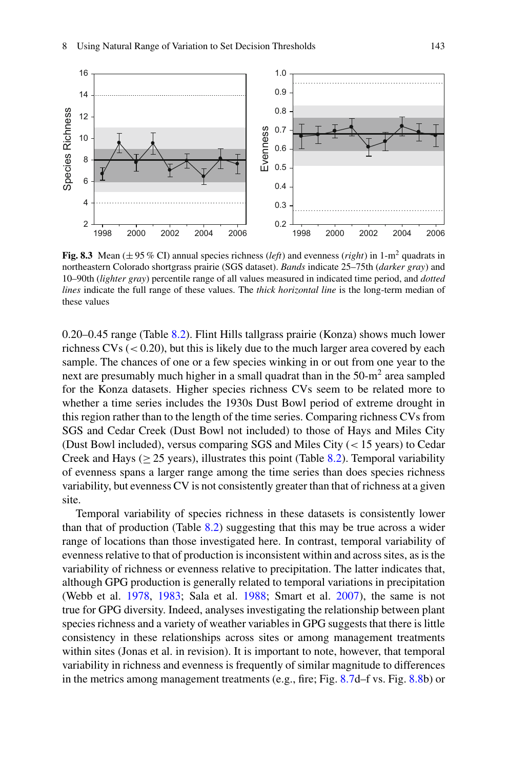<span id="page-12-0"></span>

**Fig. 8.3** Mean ( $\pm$  95 % CI) annual species richness (*left*) and evenness (*right*) in 1-m<sup>2</sup> quadrats in northeastern Colorado shortgrass prairie (SGS dataset). *Bands* indicate 25–75th (*darker gray*) and 10–90th (*lighter gray*) percentile range of all values measured in indicated time period, and *dotted lines* indicate the full range of these values. The *thick horizontal line* is the long-term median of these values

0.20–0.45 range (Table [8.2\)](#page-17-0). Flint Hills tallgrass prairie (Konza) shows much lower richness  $CVs$  ( $< 0.20$ ), but this is likely due to the much larger area covered by each sample. The chances of one or a few species winking in or out from one year to the next are presumably much higher in a small quadrat than in the 50-m<sup>2</sup> area sampled for the Konza datasets. Higher species richness CVs seem to be related more to whether a time series includes the 1930s Dust Bowl period of extreme drought in this region rather than to the length of the time series. Comparing richness CVs from SGS and Cedar Creek (Dust Bowl not included) to those of Hays and Miles City (Dust Bowl included), versus comparing SGS and Miles City (*<* 15 years) to Cedar Creek and Hays ( $\geq$  25 years), illustrates this point (Table [8.2\)](#page-17-0). Temporal variability of evenness spans a larger range among the time series than does species richness variability, but evenness CV is not consistently greater than that of richness at a given site.

Temporal variability of species richness in these datasets is consistently lower than that of production (Table [8.2\)](#page-17-0) suggesting that this may be true across a wider range of locations than those investigated here. In contrast, temporal variability of evenness relative to that of production is inconsistent within and across sites, as is the variability of richness or evenness relative to precipitation. The latter indicates that, although GPG production is generally related to temporal variations in precipitation (Webb et al. [1978,](#page-25-0) [1983;](#page-25-0) Sala et al. [1988;](#page-24-0) Smart et al. [2007](#page-24-0)), the same is not true for GPG diversity. Indeed, analyses investigating the relationship between plant species richness and a variety of weather variables in GPG suggests that there is little consistency in these relationships across sites or among management treatments within sites (Jonas et al. in revision). It is important to note, however, that temporal variability in richness and evenness is frequently of similar magnitude to differences in the metrics among management treatments (e.g., fire; Fig. [8.7d](#page-16-0)–f vs. Fig. [8.8b](#page-20-0)) or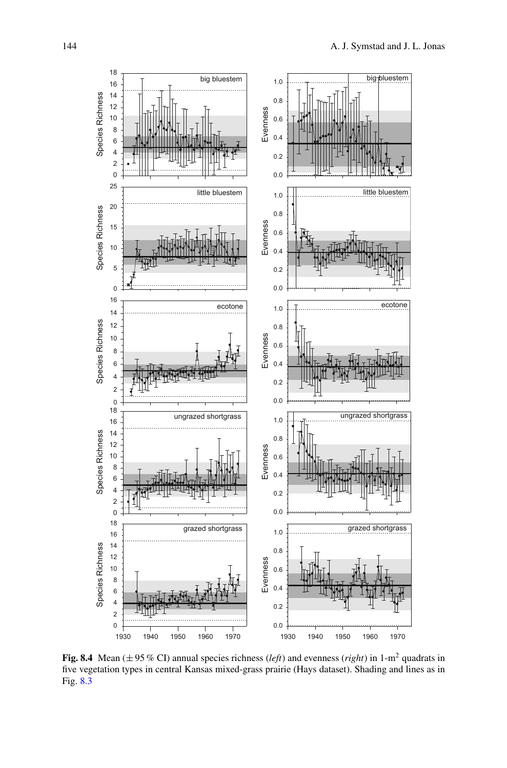<span id="page-13-0"></span>

**Fig. 8.4** Mean (± 95 % CI) annual species richness (*left*) and evenness (*right*) in 1-m<sup>2</sup> quadrats in five vegetation types in central Kansas mixed-grass prairie (Hays dataset). Shading and lines as in Fig. [8.3](#page-12-0)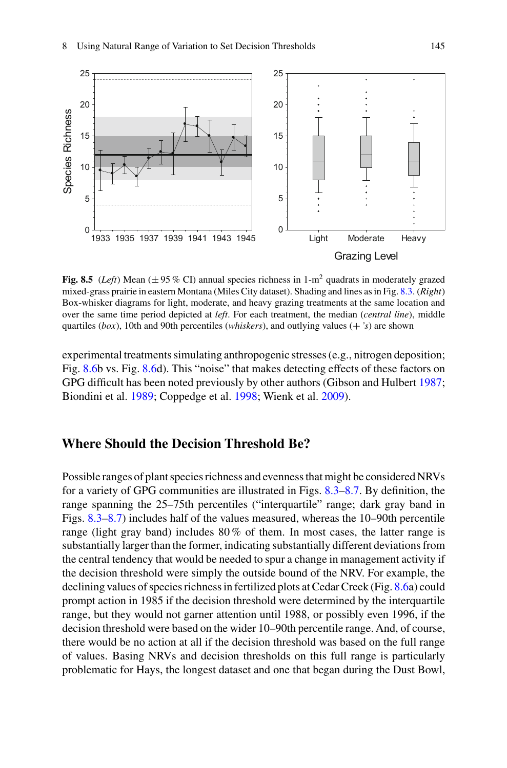<span id="page-14-0"></span>

**Fig. 8.5** (*Left*) Mean ( $\pm$  95 % CI) annual species richness in 1-m<sup>2</sup> quadrats in moderately grazed mixed-grass prairie in eastern Montana (Miles City dataset). Shading and lines as in Fig. [8.3.](#page-12-0) (*Right*) Box-whisker diagrams for light, moderate, and heavy grazing treatments at the same location and over the same time period depicted at *left*. For each treatment, the median (*central line*), middle quartiles (*box*), 10th and 90th percentiles (*whiskers*), and outlying values (+*'s*) are shown

experimental treatments simulating anthropogenic stresses (e.g., nitrogen deposition; Fig. [8.6b](#page-15-0) vs. Fig. [8.6d](#page-15-0)). This "noise" that makes detecting effects of these factors on GPG difficult has been noted previously by other authors (Gibson and Hulbert [1987;](#page-23-0) Biondini et al. [1989](#page-22-0); Coppedge et al. [1998;](#page-22-0) Wienk et al. [2009](#page-25-0)).

## **Where Should the Decision Threshold Be?**

Possible ranges of plant species richness and evenness that might be considered NRVs for a variety of GPG communities are illustrated in Figs. [8.3–](#page-12-0)[8.7.](#page-16-0) By definition, the range spanning the 25–75th percentiles ("interquartile" range; dark gray band in Figs. [8.3](#page-12-0)[–8.7\)](#page-16-0) includes half of the values measured, whereas the 10–90th percentile range (light gray band) includes 80 % of them. In most cases, the latter range is substantially larger than the former, indicating substantially different deviations from the central tendency that would be needed to spur a change in management activity if the decision threshold were simply the outside bound of the NRV. For example, the declining values of species richness in fertilized plots at Cedar Creek (Fig. [8.6a](#page-15-0)) could prompt action in 1985 if the decision threshold were determined by the interquartile range, but they would not garner attention until 1988, or possibly even 1996, if the decision threshold were based on the wider 10–90th percentile range. And, of course, there would be no action at all if the decision threshold was based on the full range of values. Basing NRVs and decision thresholds on this full range is particularly problematic for Hays, the longest dataset and one that began during the Dust Bowl,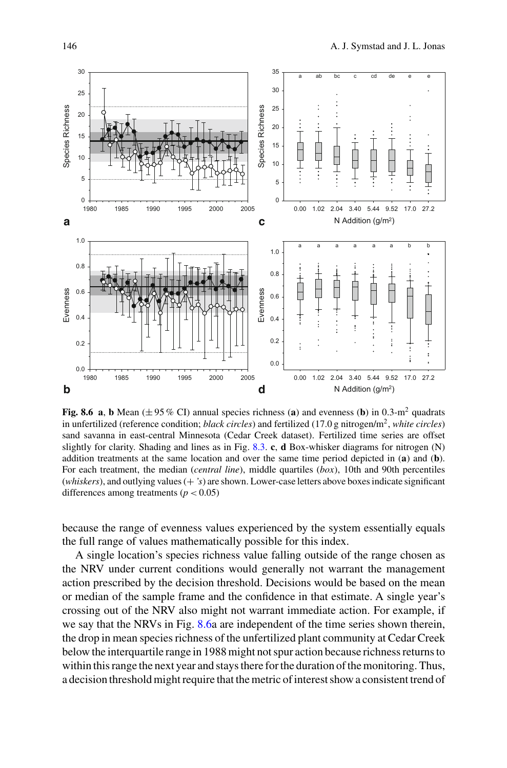<span id="page-15-0"></span>

**Fig. 8.6 a, b** Mean ( $\pm$  95 % CI) annual species richness (**a**) and evenness (**b**) in 0.3-m<sup>2</sup> quadrats in unfertilized (reference condition; *black circles*) and fertilized (17.0 g nitrogen/m2, *white circles*) sand savanna in east-central Minnesota (Cedar Creek dataset). Fertilized time series are offset slightly for clarity. Shading and lines as in Fig. [8.3.](#page-12-0) **c**, **d** Box-whisker diagrams for nitrogen (N) addition treatments at the same location and over the same time period depicted in (**a**) and (**b**). For each treatment, the median (*central line*), middle quartiles (*box*), 10th and 90th percentiles (*whiskers*), and outlying values (+*'s*) are shown. Lower-case letters above boxes indicate significant differences among treatments ( $p < 0.05$ )

because the range of evenness values experienced by the system essentially equals the full range of values mathematically possible for this index.

A single location's species richness value falling outside of the range chosen as the NRV under current conditions would generally not warrant the management action prescribed by the decision threshold. Decisions would be based on the mean or median of the sample frame and the confidence in that estimate. A single year's crossing out of the NRV also might not warrant immediate action. For example, if we say that the NRVs in Fig. 8.6a are independent of the time series shown therein, the drop in mean species richness of the unfertilized plant community at Cedar Creek below the interquartile range in 1988 might not spur action because richness returns to within this range the next year and stays there for the duration of the monitoring. Thus, a decision threshold might require that the metric of interest show a consistent trend of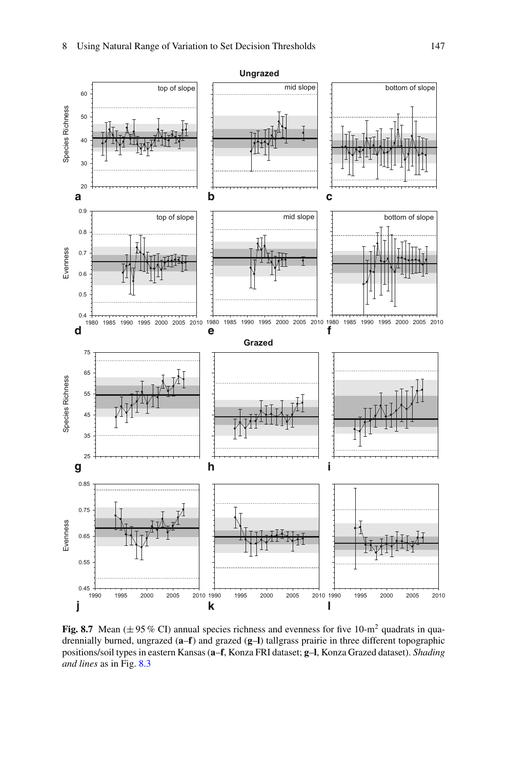<span id="page-16-0"></span>

**Fig. 8.7** Mean ( $\pm$  95 % CI) annual species richness and evenness for five 10-m<sup>2</sup> quadrats in quadrennially burned, ungrazed (**a**–**f**) and grazed (**g**–**l**) tallgrass prairie in three different topographic positions/soil types in eastern Kansas (**a**–**f**, Konza FRI dataset; **g**–**l**, Konza Grazed dataset). *Shading and lines* as in Fig. [8.3](#page-12-0)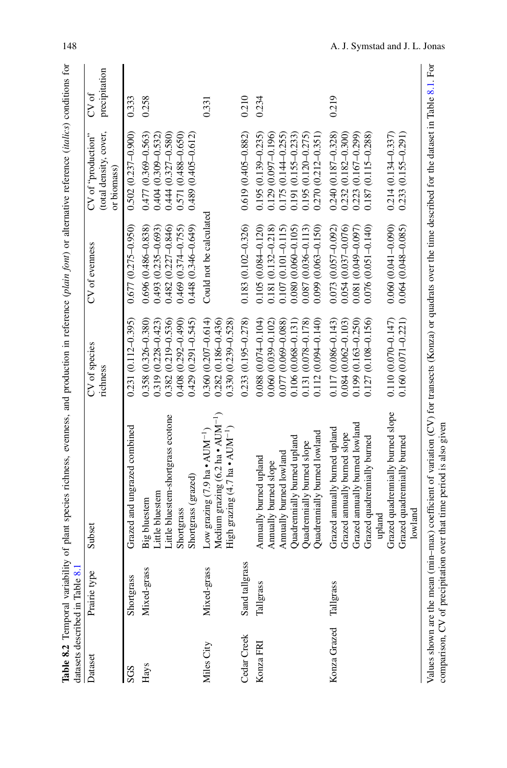| $0.619(0.405 - 0.882)$<br>(total density, cover,<br>$0.502(0.237 - 0.900)$<br>0.571 (0.488-0.650)<br>$0.233(0.155 - 0.291)$<br>$0.444(0.327 - 0.580)$<br>$0.195(0.139 - 0.235)$<br>$0.129(0.097 - 0.196)$<br>$0.240(0.187 - 0.328)$<br>$0.214(0.134 - 0.337)$<br>$0.477(0.369 - 0.563)$<br>$0.489(0.405 - 0.612)$<br>$0.270(0.212 - 0.351)$<br>0.232 (0.182-0.300)<br>$0.187(0.115 - 0.288)$<br>CV of "production"<br>$0.404(0.309 - 0.532)$<br>0.175 (0.144-0.255)<br>$0.195(0.120 - 0.275)$<br>$0.223(0.167 - 0.299)$<br>0.191 (0.155-0.233)<br>or biomass)<br>Could not be calculated<br>0.183 (0.102-0.326)<br>$0.099(0.063 - 0.150)$<br>$0.076(0.051 - 0.140)$<br>$0.060(0.041 - 0.090)$<br>0.677 (0.275-0.950)<br>$0.482(0.227 - 0.846)$<br>$0.105(0.084 - 0.120)$<br>$0.064(0.048 - 0.085)$<br>0.696 (0.486-0.838)<br>$0.493(0.235 - 0.693)$<br>$0.469(0.374 - 0.755)$<br>$(0.448)(0.346-0.649)$<br>$0.181(0.132 - 0.218)$<br>$0.087(0.036 - 0.113)$<br>0.073 (0.057-0.092)<br>0.054 (0.037-0.076)<br>$(0.081(0.049 - 0.097))$<br>0.107 (0.101-0.115)<br>$0.080(0.060 - 0.105)$<br>CV of evenness<br>$0.110(0.070 - 0.147)$<br>$0.358(0.326 - 0.380)$<br>$0.382(0.219 - 0.536)$<br>$0.360(0.207 - 0.614)$<br>$0.233(0.195 - 0.278)$<br>$0.112(0.094 - 0.140)$<br>$0.160(0.071 - 0.221)$<br>$0.231(0.112 - 0.395)$<br>$0.408(0.292 - 0.490)$<br>$0.429(0.291 - 0.545)$<br>$0.088(0.074 - 0.104)$<br>$0.199(0.163 - 0.250)$<br>$0.127(0.108 - 0.156)$<br>$0.319(0.228 - 0.423)$<br>$0.282(0.186 - 0.436)$<br>$0.330(0.239 - 0.528)$<br>$0.060(0.039 - 0.102)$<br>0.131 (0.078-0.178)<br>$0.117(0.086 - 0.143)$<br>$0.084(0.062 - 0.103)$<br>0.077 (0.069-0.088)<br>$0.106(0.068 - 0.131)$<br>CV of species<br>richness<br>Grazed quadrennially burned slope<br>Medium grazing $(6.2 \text{ ha} \cdot \text{AUM}^{-1})$<br>Little bluestem-shortgrass ecotone<br>Grazed annually burned lowland<br>Grazed and ungrazed combined<br>Grazed annually burned upland<br>High grazing $(4.7 \text{ ha} \cdot \text{AUM}^{-1})$<br>Low grazing $(7.9$ ha $\bullet$ AUM <sup>-1</sup> )<br>Quadrennially burned lowland<br>Grazed annually burned slope<br>Quadrennially burned upland<br>Grazed quadrennially burned<br>Grazed quadrennially burned<br>Quadrennially burned slope<br>Annually burned lowland<br>Annually burned upland<br>Annually burned slope<br>Shortgrass (grazed)<br>Little bluestem<br>Big bluestem<br>Shortgrass<br>upland<br>Subset<br>Sand tallgrass<br>Mixed-grass<br>Mixed-grass<br>Prairie type<br>Shortgrass<br>Tallgrass<br>Tallgrass<br>Konza Grazed<br>Cedar Creek<br>Miles City<br>Konza FRI<br>Dataset<br>Hays<br>SGS | datasets described in Table 8.1 | Table 8.2 Temporal variability of plant species richness, evenness, and production in reference (plain font) or alternative reference (italics) conditions for |  |                          |
|-------------------------------------------------------------------------------------------------------------------------------------------------------------------------------------------------------------------------------------------------------------------------------------------------------------------------------------------------------------------------------------------------------------------------------------------------------------------------------------------------------------------------------------------------------------------------------------------------------------------------------------------------------------------------------------------------------------------------------------------------------------------------------------------------------------------------------------------------------------------------------------------------------------------------------------------------------------------------------------------------------------------------------------------------------------------------------------------------------------------------------------------------------------------------------------------------------------------------------------------------------------------------------------------------------------------------------------------------------------------------------------------------------------------------------------------------------------------------------------------------------------------------------------------------------------------------------------------------------------------------------------------------------------------------------------------------------------------------------------------------------------------------------------------------------------------------------------------------------------------------------------------------------------------------------------------------------------------------------------------------------------------------------------------------------------------------------------------------------------------------------------------------------------------------------------------------------------------------------------------------------------------------------------------------------------------------------------------------------------------------------------------------------------------------------------------------------------------------------------------------------------------------------------------------------------------------------------------------------------------------------------------------------|---------------------------------|----------------------------------------------------------------------------------------------------------------------------------------------------------------|--|--------------------------|
|                                                                                                                                                                                                                                                                                                                                                                                                                                                                                                                                                                                                                                                                                                                                                                                                                                                                                                                                                                                                                                                                                                                                                                                                                                                                                                                                                                                                                                                                                                                                                                                                                                                                                                                                                                                                                                                                                                                                                                                                                                                                                                                                                                                                                                                                                                                                                                                                                                                                                                                                                                                                                                                       |                                 |                                                                                                                                                                |  | precipitation<br>$CV$ of |
|                                                                                                                                                                                                                                                                                                                                                                                                                                                                                                                                                                                                                                                                                                                                                                                                                                                                                                                                                                                                                                                                                                                                                                                                                                                                                                                                                                                                                                                                                                                                                                                                                                                                                                                                                                                                                                                                                                                                                                                                                                                                                                                                                                                                                                                                                                                                                                                                                                                                                                                                                                                                                                                       |                                 |                                                                                                                                                                |  | 0.333                    |
|                                                                                                                                                                                                                                                                                                                                                                                                                                                                                                                                                                                                                                                                                                                                                                                                                                                                                                                                                                                                                                                                                                                                                                                                                                                                                                                                                                                                                                                                                                                                                                                                                                                                                                                                                                                                                                                                                                                                                                                                                                                                                                                                                                                                                                                                                                                                                                                                                                                                                                                                                                                                                                                       |                                 |                                                                                                                                                                |  | 0.258                    |
|                                                                                                                                                                                                                                                                                                                                                                                                                                                                                                                                                                                                                                                                                                                                                                                                                                                                                                                                                                                                                                                                                                                                                                                                                                                                                                                                                                                                                                                                                                                                                                                                                                                                                                                                                                                                                                                                                                                                                                                                                                                                                                                                                                                                                                                                                                                                                                                                                                                                                                                                                                                                                                                       |                                 |                                                                                                                                                                |  | 0.331                    |
|                                                                                                                                                                                                                                                                                                                                                                                                                                                                                                                                                                                                                                                                                                                                                                                                                                                                                                                                                                                                                                                                                                                                                                                                                                                                                                                                                                                                                                                                                                                                                                                                                                                                                                                                                                                                                                                                                                                                                                                                                                                                                                                                                                                                                                                                                                                                                                                                                                                                                                                                                                                                                                                       |                                 |                                                                                                                                                                |  | 0.210                    |
|                                                                                                                                                                                                                                                                                                                                                                                                                                                                                                                                                                                                                                                                                                                                                                                                                                                                                                                                                                                                                                                                                                                                                                                                                                                                                                                                                                                                                                                                                                                                                                                                                                                                                                                                                                                                                                                                                                                                                                                                                                                                                                                                                                                                                                                                                                                                                                                                                                                                                                                                                                                                                                                       |                                 |                                                                                                                                                                |  | 0.234                    |
|                                                                                                                                                                                                                                                                                                                                                                                                                                                                                                                                                                                                                                                                                                                                                                                                                                                                                                                                                                                                                                                                                                                                                                                                                                                                                                                                                                                                                                                                                                                                                                                                                                                                                                                                                                                                                                                                                                                                                                                                                                                                                                                                                                                                                                                                                                                                                                                                                                                                                                                                                                                                                                                       |                                 | lowland                                                                                                                                                        |  | 0.219                    |

<span id="page-17-0"></span>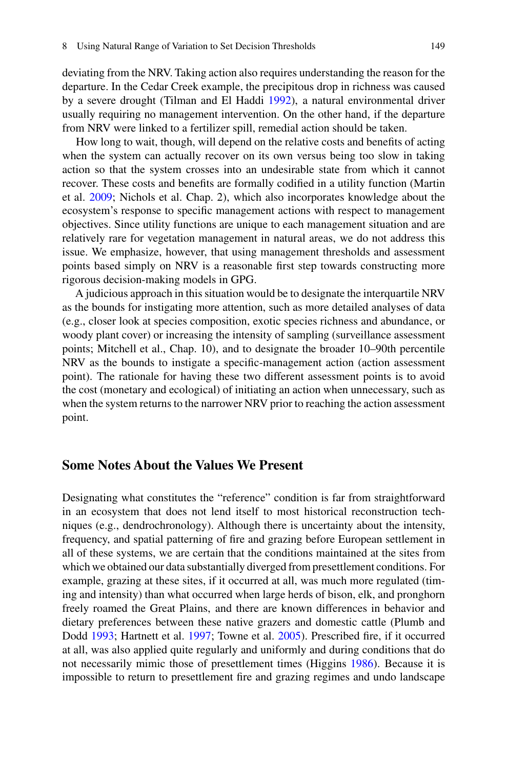deviating from the NRV. Taking action also requires understanding the reason for the departure. In the Cedar Creek example, the precipitous drop in richness was caused by a severe drought (Tilman and El Haddi [1992](#page-25-0)), a natural environmental driver usually requiring no management intervention. On the other hand, if the departure from NRV were linked to a fertilizer spill, remedial action should be taken.

How long to wait, though, will depend on the relative costs and benefits of acting when the system can actually recover on its own versus being too slow in taking action so that the system crosses into an undesirable state from which it cannot recover. These costs and benefits are formally codified in a utility function (Martin et al. [2009](#page-23-0); Nichols et al. Chap. 2), which also incorporates knowledge about the ecosystem's response to specific management actions with respect to management objectives. Since utility functions are unique to each management situation and are relatively rare for vegetation management in natural areas, we do not address this issue. We emphasize, however, that using management thresholds and assessment points based simply on NRV is a reasonable first step towards constructing more rigorous decision-making models in GPG.

A judicious approach in this situation would be to designate the interquartile NRV as the bounds for instigating more attention, such as more detailed analyses of data (e.g., closer look at species composition, exotic species richness and abundance, or woody plant cover) or increasing the intensity of sampling (surveillance assessment points; Mitchell et al., Chap. 10), and to designate the broader 10–90th percentile NRV as the bounds to instigate a specific-management action (action assessment point). The rationale for having these two different assessment points is to avoid the cost (monetary and ecological) of initiating an action when unnecessary, such as when the system returns to the narrower NRV prior to reaching the action assessment point.

#### **Some Notes About the Values We Present**

Designating what constitutes the "reference" condition is far from straightforward in an ecosystem that does not lend itself to most historical reconstruction techniques (e.g., dendrochronology). Although there is uncertainty about the intensity, frequency, and spatial patterning of fire and grazing before European settlement in all of these systems, we are certain that the conditions maintained at the sites from which we obtained our data substantially diverged from presettlement conditions. For example, grazing at these sites, if it occurred at all, was much more regulated (timing and intensity) than what occurred when large herds of bison, elk, and pronghorn freely roamed the Great Plains, and there are known differences in behavior and dietary preferences between these native grazers and domestic cattle (Plumb and Dodd [1993;](#page-24-0) Hartnett et al. [1997;](#page-23-0) Towne et al. [2005\)](#page-25-0). Prescribed fire, if it occurred at all, was also applied quite regularly and uniformly and during conditions that do not necessarily mimic those of presettlement times (Higgins [1986](#page-23-0)). Because it is impossible to return to presettlement fire and grazing regimes and undo landscape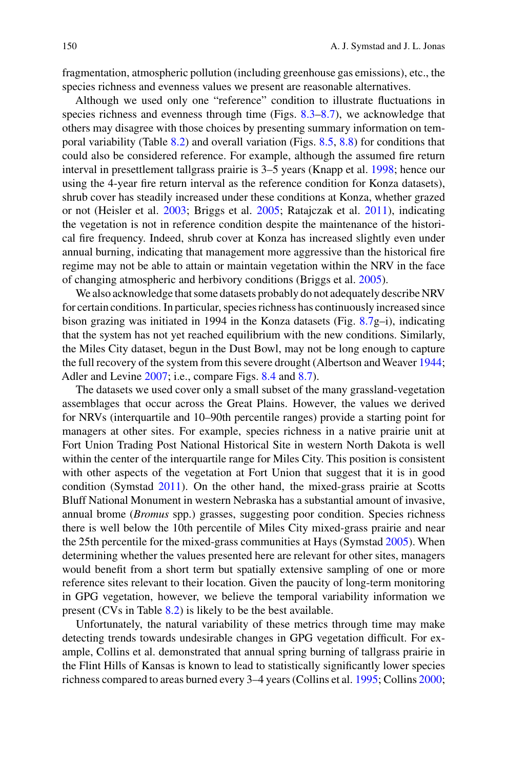fragmentation, atmospheric pollution (including greenhouse gas emissions), etc., the species richness and evenness values we present are reasonable alternatives.

Although we used only one "reference" condition to illustrate fluctuations in species richness and evenness through time (Figs. [8.3–](#page-12-0)[8.7\)](#page-16-0), we acknowledge that others may disagree with those choices by presenting summary information on temporal variability (Table [8.2\)](#page-17-0) and overall variation (Figs. [8.5,](#page-14-0) [8.8\)](#page-20-0) for conditions that could also be considered reference. For example, although the assumed fire return interval in presettlement tallgrass prairie is 3–5 years (Knapp et al. [1998](#page-23-0); hence our using the 4-year fire return interval as the reference condition for Konza datasets), shrub cover has steadily increased under these conditions at Konza, whether grazed or not (Heisler et al. [2003](#page-23-0); Briggs et al. [2005](#page-22-0); Ratajczak et al. [2011\)](#page-24-0), indicating the vegetation is not in reference condition despite the maintenance of the historical fire frequency. Indeed, shrub cover at Konza has increased slightly even under annual burning, indicating that management more aggressive than the historical fire regime may not be able to attain or maintain vegetation within the NRV in the face of changing atmospheric and herbivory conditions (Briggs et al. [2005\)](#page-22-0).

We also acknowledge that some datasets probably do not adequately describe NRV for certain conditions. In particular, species richness has continuously increased since bison grazing was initiated in 1994 in the Konza datasets (Fig. [8.7g](#page-16-0)–i), indicating that the system has not yet reached equilibrium with the new conditions. Similarly, the Miles City dataset, begun in the Dust Bowl, may not be long enough to capture the full recovery of the system from this severe drought (Albertson and Weaver [1944;](#page-21-0) Adler and Levine [2007](#page-21-0); i.e., compare Figs. [8.4](#page-13-0) and [8.7\)](#page-16-0).

The datasets we used cover only a small subset of the many grassland-vegetation assemblages that occur across the Great Plains. However, the values we derived for NRVs (interquartile and 10–90th percentile ranges) provide a starting point for managers at other sites. For example, species richness in a native prairie unit at Fort Union Trading Post National Historical Site in western North Dakota is well within the center of the interquartile range for Miles City. This position is consistent with other aspects of the vegetation at Fort Union that suggest that it is in good condition (Symstad [2011](#page-24-0)). On the other hand, the mixed-grass prairie at Scotts Bluff National Monument in western Nebraska has a substantial amount of invasive, annual brome (*Bromus* spp.) grasses, suggesting poor condition. Species richness there is well below the 10th percentile of Miles City mixed-grass prairie and near the 25th percentile for the mixed-grass communities at Hays (Symstad [2005\)](#page-24-0). When determining whether the values presented here are relevant for other sites, managers would benefit from a short term but spatially extensive sampling of one or more reference sites relevant to their location. Given the paucity of long-term monitoring in GPG vegetation, however, we believe the temporal variability information we present (CVs in Table [8.2\)](#page-17-0) is likely to be the best available.

Unfortunately, the natural variability of these metrics through time may make detecting trends towards undesirable changes in GPG vegetation difficult. For example, Collins et al. demonstrated that annual spring burning of tallgrass prairie in the Flint Hills of Kansas is known to lead to statistically significantly lower species richness compared to areas burned every 3–4 years (Collins et al. [1995;](#page-22-0) Collins [2000;](#page-22-0)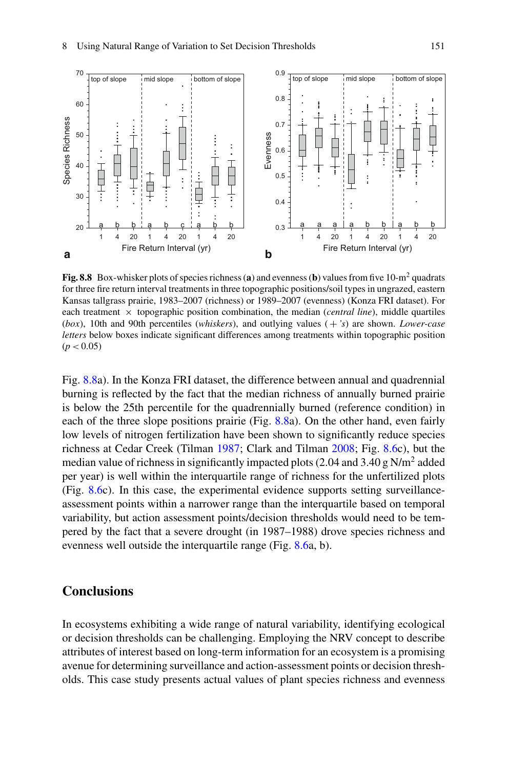<span id="page-20-0"></span>

**Fig. 8.8** Box-whisker plots of species richness (**a**) and evenness (**b**) values from five 10-m<sup>2</sup> quadrats for three fire return interval treatments in three topographic positions/soil types in ungrazed, eastern Kansas tallgrass prairie, 1983–2007 (richness) or 1989–2007 (evenness) (Konza FRI dataset). For each treatment  $\times$  topographic position combination, the median *(central line)*, middle quartiles (*box*), 10th and 90th percentiles (*whiskers*), and outlying values ( +*'s*) are shown. *Lower-case letters* below boxes indicate significant differences among treatments within topographic position  $(p < 0.05)$ 

Fig. 8.8a). In the Konza FRI dataset, the difference between annual and quadrennial burning is reflected by the fact that the median richness of annually burned prairie is below the 25th percentile for the quadrennially burned (reference condition) in each of the three slope positions prairie (Fig. 8.8a). On the other hand, even fairly low levels of nitrogen fertilization have been shown to significantly reduce species richness at Cedar Creek (Tilman [1987;](#page-25-0) Clark and Tilman [2008](#page-22-0); Fig. [8.6c](#page-15-0)), but the median value of richness in significantly impacted plots (2.04 and 3.40 g  $N/m<sup>2</sup>$  added per year) is well within the interquartile range of richness for the unfertilized plots (Fig. [8.6c](#page-15-0)). In this case, the experimental evidence supports setting surveillanceassessment points within a narrower range than the interquartile based on temporal variability, but action assessment points/decision thresholds would need to be tempered by the fact that a severe drought (in 1987–1988) drove species richness and evenness well outside the interquartile range (Fig. [8.6a](#page-15-0), b).

#### **Conclusions**

In ecosystems exhibiting a wide range of natural variability, identifying ecological or decision thresholds can be challenging. Employing the NRV concept to describe attributes of interest based on long-term information for an ecosystem is a promising avenue for determining surveillance and action-assessment points or decision thresholds. This case study presents actual values of plant species richness and evenness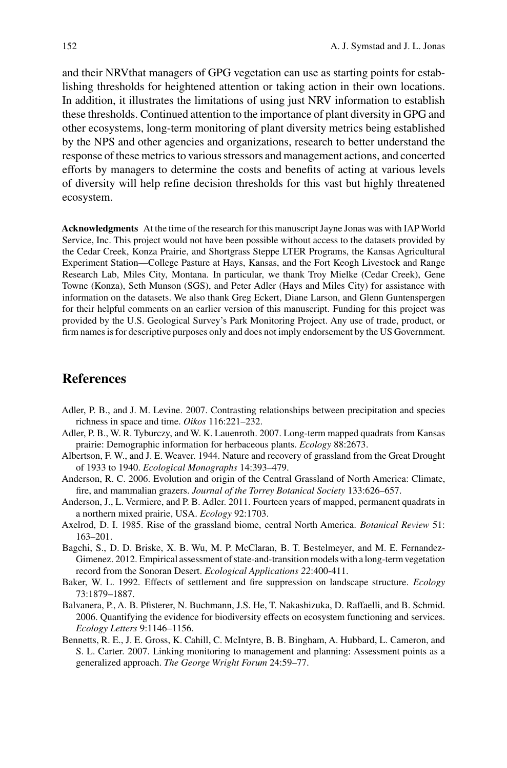<span id="page-21-0"></span>and their NRVthat managers of GPG vegetation can use as starting points for establishing thresholds for heightened attention or taking action in their own locations. In addition, it illustrates the limitations of using just NRV information to establish these thresholds. Continued attention to the importance of plant diversity in GPG and other ecosystems, long-term monitoring of plant diversity metrics being established by the NPS and other agencies and organizations, research to better understand the response of these metrics to various stressors and management actions, and concerted efforts by managers to determine the costs and benefits of acting at various levels of diversity will help refine decision thresholds for this vast but highly threatened ecosystem.

**Acknowledgments** At the time of the research for this manuscript Jayne Jonas was with IAP World Service, Inc. This project would not have been possible without access to the datasets provided by the Cedar Creek, Konza Prairie, and Shortgrass Steppe LTER Programs, the Kansas Agricultural Experiment Station—College Pasture at Hays, Kansas, and the Fort Keogh Livestock and Range Research Lab, Miles City, Montana. In particular, we thank Troy Mielke (Cedar Creek), Gene Towne (Konza), Seth Munson (SGS), and Peter Adler (Hays and Miles City) for assistance with information on the datasets. We also thank Greg Eckert, Diane Larson, and Glenn Guntenspergen for their helpful comments on an earlier version of this manuscript. Funding for this project was provided by the U.S. Geological Survey's Park Monitoring Project. Any use of trade, product, or firm names is for descriptive purposes only and does not imply endorsement by the US Government.

### **References**

- Adler, P. B., and J. M. Levine. 2007. Contrasting relationships between precipitation and species richness in space and time. *Oikos* 116:221–232.
- Adler, P. B., W. R. Tyburczy, and W. K. Lauenroth. 2007. Long-term mapped quadrats from Kansas prairie: Demographic information for herbaceous plants. *Ecology* 88:2673.
- Albertson, F. W., and J. E. Weaver. 1944. Nature and recovery of grassland from the Great Drought of 1933 to 1940. *Ecological Monographs* 14:393–479.
- Anderson, R. C. 2006. Evolution and origin of the Central Grassland of North America: Climate, fire, and mammalian grazers. *Journal of the Torrey Botanical Society* 133:626–657.
- Anderson, J., L. Vermiere, and P. B. Adler. 2011. Fourteen years of mapped, permanent quadrats in a northern mixed prairie, USA. *Ecology* 92:1703.
- Axelrod, D. I. 1985. Rise of the grassland biome, central North America. *Botanical Review* 51: 163–201.
- Bagchi, S., D. D. Briske, X. B. Wu, M. P. McClaran, B. T. Bestelmeyer, and M. E. Fernandez-Gimenez. 2012. Empirical assessment of state-and-transition models with a long-term vegetation record from the Sonoran Desert. *Ecological Applications 22*:400-411.
- Baker, W. L. 1992. Effects of settlement and fire suppression on landscape structure. *Ecology* 73:1879–1887.
- Balvanera, P., A. B. Pfisterer, N. Buchmann, J.S. He, T. Nakashizuka, D. Raffaelli, and B. Schmid. 2006. Quantifying the evidence for biodiversity effects on ecosystem functioning and services. *Ecology Letters* 9:1146–1156.
- Bennetts, R. E., J. E. Gross, K. Cahill, C. McIntyre, B. B. Bingham, A. Hubbard, L. Cameron, and S. L. Carter. 2007. Linking monitoring to management and planning: Assessment points as a generalized approach. *The George Wright Forum* 24:59–77.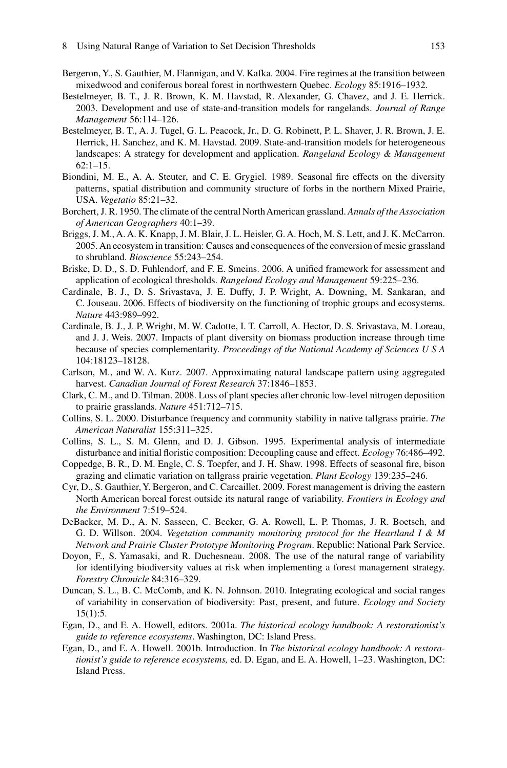- <span id="page-22-0"></span>Bergeron, Y., S. Gauthier, M. Flannigan, and V. Kafka. 2004. Fire regimes at the transition between mixedwood and coniferous boreal forest in northwestern Quebec. *Ecology* 85:1916–1932.
- Bestelmeyer, B. T., J. R. Brown, K. M. Havstad, R. Alexander, G. Chavez, and J. E. Herrick. 2003. Development and use of state-and-transition models for rangelands. *Journal of Range Management* 56:114–126.
- Bestelmeyer, B. T., A. J. Tugel, G. L. Peacock, Jr., D. G. Robinett, P. L. Shaver, J. R. Brown, J. E. Herrick, H. Sanchez, and K. M. Havstad. 2009. State-and-transition models for heterogeneous landscapes: A strategy for development and application. *Rangeland Ecology & Management* 62:1–15.
- Biondini, M. E., A. A. Steuter, and C. E. Grygiel. 1989. Seasonal fire effects on the diversity patterns, spatial distribution and community structure of forbs in the northern Mixed Prairie, USA. *Vegetatio* 85:21–32.
- Borchert, J. R. 1950. The climate of the central NorthAmerican grassland. *Annals of the Association of American Geographers* 40:1–39.
- Briggs, J. M., A. A. K. Knapp, J. M. Blair, J. L. Heisler, G. A. Hoch, M. S. Lett, and J. K. McCarron. 2005. An ecosystem in transition: Causes and consequences of the conversion of mesic grassland to shrubland. *Bioscience* 55:243–254.
- Briske, D. D., S. D. Fuhlendorf, and F. E. Smeins. 2006. A unified framework for assessment and application of ecological thresholds. *Rangeland Ecology and Management* 59:225–236.
- Cardinale, B. J., D. S. Srivastava, J. E. Duffy, J. P. Wright, A. Downing, M. Sankaran, and C. Jouseau. 2006. Effects of biodiversity on the functioning of trophic groups and ecosystems. *Nature* 443:989–992.
- Cardinale, B. J., J. P. Wright, M. W. Cadotte, I. T. Carroll, A. Hector, D. S. Srivastava, M. Loreau, and J. J. Weis. 2007. Impacts of plant diversity on biomass production increase through time because of species complementarity. *Proceedings of the National Academy of Sciences U S A* 104:18123–18128.
- Carlson, M., and W. A. Kurz. 2007. Approximating natural landscape pattern using aggregated harvest. *Canadian Journal of Forest Research* 37:1846–1853.
- Clark, C. M., and D. Tilman. 2008. Loss of plant species after chronic low-level nitrogen deposition to prairie grasslands. *Nature* 451:712–715.
- Collins, S. L. 2000. Disturbance frequency and community stability in native tallgrass prairie. *The American Naturalist* 155:311–325.
- Collins, S. L., S. M. Glenn, and D. J. Gibson. 1995. Experimental analysis of intermediate disturbance and initial floristic composition: Decoupling cause and effect. *Ecology* 76:486–492.
- Coppedge, B. R., D. M. Engle, C. S. Toepfer, and J. H. Shaw. 1998. Effects of seasonal fire, bison grazing and climatic variation on tallgrass prairie vegetation. *Plant Ecology* 139:235–246.
- Cyr, D., S. Gauthier, Y. Bergeron, and C. Carcaillet. 2009. Forest management is driving the eastern North American boreal forest outside its natural range of variability. *Frontiers in Ecology and the Environment* 7:519–524.
- DeBacker, M. D., A. N. Sasseen, C. Becker, G. A. Rowell, L. P. Thomas, J. R. Boetsch, and G. D. Willson. 2004. *Vegetation community monitoring protocol for the Heartland I & M Network and Prairie Cluster Prototype Monitoring Program*. Republic: National Park Service.
- Doyon, F., S. Yamasaki, and R. Duchesneau. 2008. The use of the natural range of variability for identifying biodiversity values at risk when implementing a forest management strategy. *Forestry Chronicle* 84:316–329.
- Duncan, S. L., B. C. McComb, and K. N. Johnson. 2010. Integrating ecological and social ranges of variability in conservation of biodiversity: Past, present, and future. *Ecology and Society* 15(1):5.
- Egan, D., and E. A. Howell, editors. 2001a. *The historical ecology handbook: A restorationist's guide to reference ecosystems*. Washington, DC: Island Press.
- Egan, D., and E. A. Howell. 2001b. Introduction. In *The historical ecology handbook: A restorationist's guide to reference ecosystems,* ed. D. Egan, and E. A. Howell, 1–23. Washington, DC: Island Press.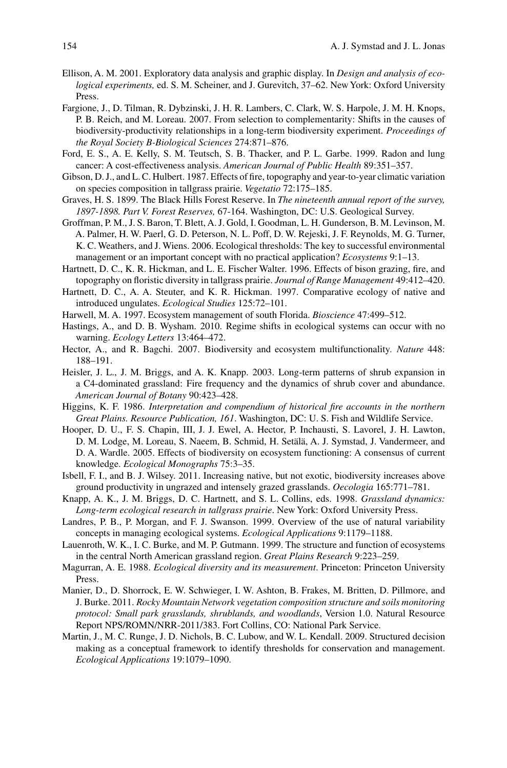- <span id="page-23-0"></span>Ellison, A. M. 2001. Exploratory data analysis and graphic display. In *Design and analysis of ecological experiments,* ed. S. M. Scheiner, and J. Gurevitch, 37–62. New York: Oxford University Press.
- Fargione, J., D. Tilman, R. Dybzinski, J. H. R. Lambers, C. Clark, W. S. Harpole, J. M. H. Knops, P. B. Reich, and M. Loreau. 2007. From selection to complementarity: Shifts in the causes of biodiversity-productivity relationships in a long-term biodiversity experiment. *Proceedings of the Royal Society B-Biological Sciences* 274:871–876.
- Ford, E. S., A. E. Kelly, S. M. Teutsch, S. B. Thacker, and P. L. Garbe. 1999. Radon and lung cancer: A cost-effectiveness analysis. *American Journal of Public Health* 89:351–357.
- Gibson, D. J., and L. C. Hulbert. 1987. Effects of fire, topography and year-to-year climatic variation on species composition in tallgrass prairie. *Vegetatio* 72:175–185.
- Graves, H. S. 1899. The Black Hills Forest Reserve. In *The nineteenth annual report of the survey, 1897-1898. Part V. Forest Reserves,* 67-164. Washington, DC: U.S. Geological Survey.
- Groffman, P. M., J. S. Baron, T. Blett, A. J. Gold, I. Goodman, L. H. Gunderson, B. M. Levinson, M. A. Palmer, H. W. Paerl, G. D. Peterson, N. L. Poff, D. W. Rejeski, J. F. Reynolds, M. G. Turner, K. C. Weathers, and J. Wiens. 2006. Ecological thresholds: The key to successful environmental management or an important concept with no practical application? *Ecosystems* 9:1–13.
- Hartnett, D. C., K. R. Hickman, and L. E. Fischer Walter. 1996. Effects of bison grazing, fire, and topography on floristic diversity in tallgrass prairie. *Journal of Range Management* 49:412–420.
- Hartnett, D. C., A. A. Steuter, and K. R. Hickman. 1997. Comparative ecology of native and introduced ungulates. *Ecological Studies* 125:72–101.
- Harwell, M. A. 1997. Ecosystem management of south Florida. *Bioscience* 47:499–512.
- Hastings, A., and D. B. Wysham. 2010. Regime shifts in ecological systems can occur with no warning. *Ecology Letters* 13:464–472.
- Hector, A., and R. Bagchi. 2007. Biodiversity and ecosystem multifunctionality. *Nature* 448: 188–191.
- Heisler, J. L., J. M. Briggs, and A. K. Knapp. 2003. Long-term patterns of shrub expansion in a C4-dominated grassland: Fire frequency and the dynamics of shrub cover and abundance. *American Journal of Botany* 90:423–428.
- Higgins, K. F. 1986. *Interpretation and compendium of historical fire accounts in the northern Great Plains. Resource Publication, 161*. Washington, DC: U. S. Fish and Wildlife Service.
- Hooper, D. U., F. S. Chapin, III, J. J. Ewel, A. Hector, P. Inchausti, S. Lavorel, J. H. Lawton, D. M. Lodge, M. Loreau, S. Naeem, B. Schmid, H. Setälä, A. J. Symstad, J. Vandermeer, and D. A. Wardle. 2005. Effects of biodiversity on ecosystem functioning: A consensus of current knowledge. *Ecological Monographs* 75:3–35.
- Isbell, F. I., and B. J. Wilsey. 2011. Increasing native, but not exotic, biodiversity increases above ground productivity in ungrazed and intensely grazed grasslands. *Oecologia* 165:771–781.
- Knapp, A. K., J. M. Briggs, D. C. Hartnett, and S. L. Collins, eds. 1998. *Grassland dynamics: Long-term ecological research in tallgrass prairie*. New York: Oxford University Press.
- Landres, P. B., P. Morgan, and F. J. Swanson. 1999. Overview of the use of natural variability concepts in managing ecological systems. *Ecological Applications* 9:1179–1188.
- Lauenroth, W. K., I. C. Burke, and M. P. Gutmann. 1999. The structure and function of ecosystems in the central North American grassland region. *Great Plains Research* 9:223–259.
- Magurran, A. E. 1988. *Ecological diversity and its measurement*. Princeton: Princeton University Press.
- Manier, D., D. Shorrock, E. W. Schwieger, I. W. Ashton, B. Frakes, M. Britten, D. Pillmore, and J. Burke. 2011. *Rocky Mountain Network vegetation composition structure and soils monitoring protocol: Small park grasslands, shrublands, and woodlands*, Version 1.0. Natural Resource Report NPS/ROMN/NRR-2011/383. Fort Collins, CO: National Park Service.
- Martin, J., M. C. Runge, J. D. Nichols, B. C. Lubow, and W. L. Kendall. 2009. Structured decision making as a conceptual framework to identify thresholds for conservation and management. *Ecological Applications* 19:1079–1090.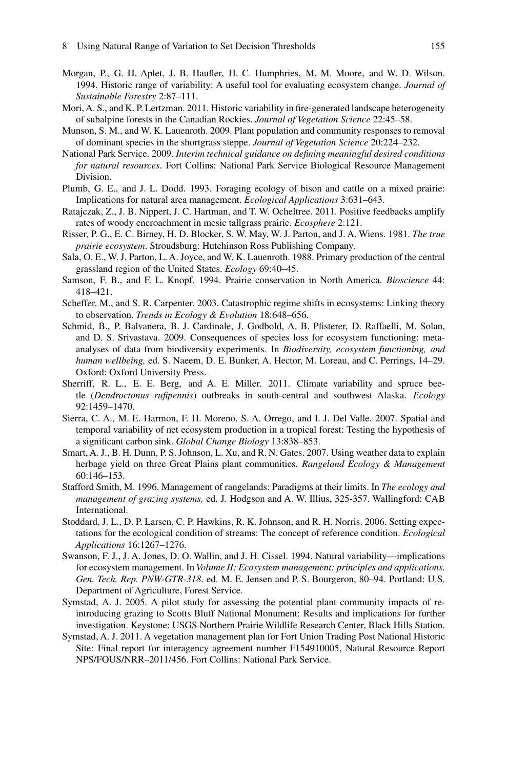- <span id="page-24-0"></span>Morgan, P., G. H. Aplet, J. B. Haufler, H. C. Humphries, M. M. Moore, and W. D. Wilson. 1994. Historic range of variability: A useful tool for evaluating ecosystem change. *Journal of Sustainable Forestry* 2:87–111.
- Mori, A. S., and K. P. Lertzman. 2011. Historic variability in fire-generated landscape heterogeneity of subalpine forests in the Canadian Rockies. *Journal of Vegetation Science* 22:45–58.
- Munson, S. M., and W. K. Lauenroth. 2009. Plant population and community responses to removal of dominant species in the shortgrass steppe. *Journal of Vegetation Science* 20:224–232.
- National Park Service. 2009. *Interim technical guidance on defining meaningful desired conditions for natural resources*. Fort Collins: National Park Service Biological Resource Management Division.
- Plumb, G. E., and J. L. Dodd. 1993. Foraging ecology of bison and cattle on a mixed prairie: Implications for natural area management. *Ecological Applications* 3:631–643.
- Ratajczak, Z., J. B. Nippert, J. C. Hartman, and T. W. Ocheltree. 2011. Positive feedbacks amplify rates of woody encroachment in mesic tallgrass prairie. *Ecosphere* 2:121.
- Risser, P. G., E. C. Birney, H. D. Blocker, S. W. May, W. J. Parton, and J. A. Wiens. 1981. *The true prairie ecosystem*. Stroudsburg: Hutchinson Ross Publishing Company.
- Sala, O. E., W. J. Parton, L. A. Joyce, and W. K. Lauenroth. 1988. Primary production of the central grassland region of the United States. *Ecology* 69:40–45.
- Samson, F. B., and F. L. Knopf. 1994. Prairie conservation in North America. *Bioscience* 44: 418–421.
- Scheffer, M., and S. R. Carpenter. 2003. Catastrophic regime shifts in ecosystems: Linking theory to observation. *Trends in Ecology & Evolution* 18:648–656.
- Schmid, B., P. Balvanera, B. J. Cardinale, J. Godbold, A. B. Pfisterer, D. Raffaelli, M. Solan, and D. S. Srivastava. 2009. Consequences of species loss for ecosystem functioning: metaanalyses of data from biodiversity experiments. In *Biodiversity, ecosystem functioning, and human wellbeing,* ed. S. Naeem, D. E. Bunker, A. Hector, M. Loreau, and C. Perrings, 14–29. Oxford: Oxford University Press.
- Sherriff, R. L., E. E. Berg, and A. E. Miller. 2011. Climate variability and spruce beetle (*Dendroctonus rufipennis*) outbreaks in south-central and southwest Alaska. *Ecology* 92:1459–1470.
- Sierra, C. A., M. E. Harmon, F. H. Moreno, S. A. Orrego, and I. J. Del Valle. 2007. Spatial and temporal variability of net ecosystem production in a tropical forest: Testing the hypothesis of a significant carbon sink. *Global Change Biology* 13:838–853.
- Smart, A. J., B. H. Dunn, P. S. Johnson, L. Xu, and R. N. Gates. 2007. Using weather data to explain herbage yield on three Great Plains plant communities. *Rangeland Ecology & Management* 60:146–153.
- Stafford Smith, M. 1996. Management of rangelands: Paradigms at their limits. In *The ecology and management of grazing systems,* ed. J. Hodgson and A. W. Illius, 325-357. Wallingford: CAB International.
- Stoddard, J. L., D. P. Larsen, C. P. Hawkins, R. K. Johnson, and R. H. Norris. 2006. Setting expectations for the ecological condition of streams: The concept of reference condition. *Ecological Applications* 16:1267–1276.
- Swanson, F. J., J. A. Jones, D. O. Wallin, and J. H. Cissel. 1994. Natural variability—implications for ecosystem management. In *Volume II: Ecosystem management: principles and applications. Gen. Tech. Rep. PNW-GTR-318*. ed. M. E. Jensen and P. S. Bourgeron, 80–94. Portland: U.S. Department of Agriculture, Forest Service.
- Symstad, A. J. 2005. A pilot study for assessing the potential plant community impacts of reintroducing grazing to Scotts Bluff National Monument: Results and implications for further investigation. Keystone: USGS Northern Prairie Wildlife Research Center, Black Hills Station.
- Symstad, A. J. 2011. A vegetation management plan for Fort Union Trading Post National Historic Site: Final report for interagency agreement number F154910005, Natural Resource Report NPS/FOUS/NRR–2011/456. Fort Collins: National Park Service.